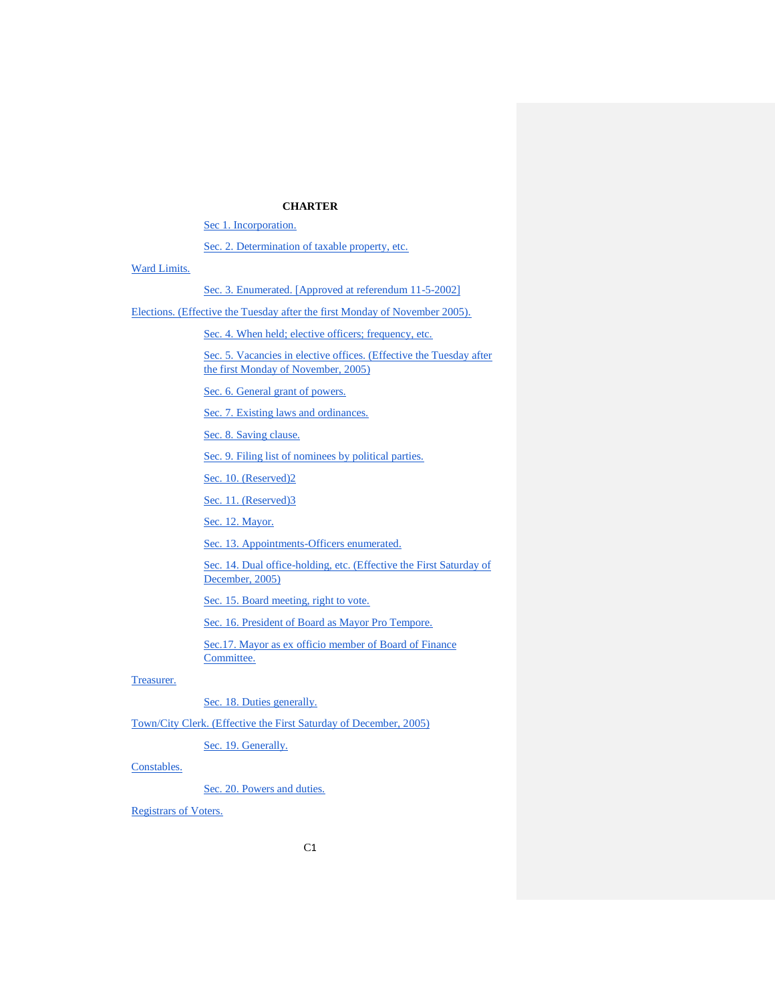# **CHARTER**

[Sec 1. Incorporation.](#page-5-0)

[Sec. 2. Determination of taxable property, etc.](#page-5-1)

[Ward Limits.](#page-5-2)

## [Sec. 3. Enumerated. \[Approved at referendum 11-5-2002\]](#page-5-3)

[Elections. \(Effective the Tuesday after the first Monday of November 2005\).](#page-6-0)

[Sec. 4. When held; elective officers; frequency, etc.](#page-6-1)

Sec. 5. Vacancies in elective offices. (Effective the Tuesday after [the first Monday of November, 2005\)](#page-7-0)

[Sec. 6. General grant of powers.](#page-7-1)

[Sec. 7. Existing laws and ordinances.](#page-8-0)

[Sec. 8. Saving clause.](#page-8-1)

[Sec. 9. Filing list of nominees by political parties.](#page-8-2)

Sec. 10. (Reserved)<sub>2</sub>

Sec. 11. (Reserved)3

[Sec. 12. Mayor.](#page-8-4)

[Sec. 13. Appointments-Officers enumerated.](#page-9-0)

[Sec. 14. Dual office-holding, etc. \(Effective the First Saturday of](#page-10-0)  [December, 2005\)](#page-10-0)

[Sec. 15. Board meeting, right to vote.](#page-10-1)

[Sec. 16. President of Board as Mayor Pro Tempore.](#page-10-2)

[Sec.17. Mayor as ex officio member of Board of Finance](#page-10-3)  [Committee.](#page-10-3)

## [Treasurer.](#page-10-4)

[Sec. 18. Duties generally.](#page-10-5)

[Town/City Clerk. \(Effective the First Saturday of December, 2005\)](#page-11-0)

[Sec. 19. Generally.](#page-11-1)

# [Constables.](#page-12-0)

[Sec. 20. Powers and duties.](#page-12-1)

[Registrars of Voters.](#page-12-2)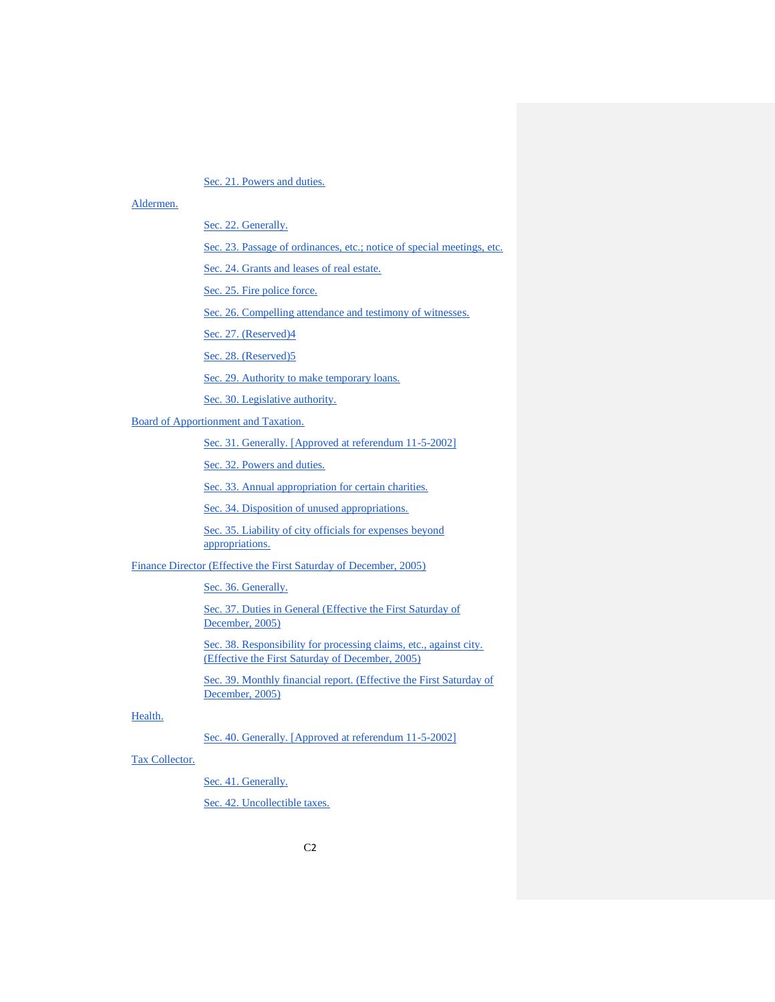[Sec. 21. Powers and duties.](#page-12-3)

## [Aldermen.](#page-12-4)

[Sec. 22. Generally.](#page-12-5)

[Sec. 23. Passage of ordinances, etc.; notice of special meetings, etc.](#page-13-0)

[Sec. 24. Grants and leases of real estate.](#page-14-0)

[Sec. 25. Fire police force.](#page-14-1)

[Sec. 26. Compelling attendance and testimony of witnesses.](#page-15-0)

Sec. 27. (Reserved)4

Sec. 28. (Reserved)5

[Sec. 29. Authority to make temporary loans.](#page-15-1)

[Sec. 30. Legislative authority.](#page-15-2)

[Board of Apportionment and Taxation.](#page-16-0)

[Sec. 31. Generally. \[Approved at referendum 11-5-2002\]](#page-16-1)

[Sec. 32. Powers and duties.](#page-17-0)

[Sec. 33. Annual appropriation for certain charities.](#page-18-0)

[Sec. 34. Disposition of unused appropriations.](#page-19-0)

[Sec. 35. Liability of city officials for expenses](#page-19-1) beyond [appropriations.](#page-19-1)

[Finance Director \(Effective the First Saturday of December, 2005\)](#page-19-2)

[Sec. 36. Generally.](#page-19-3)

[Sec. 37. Duties in General \(Effective the First Saturday of](#page-20-0)  [December, 2005\)](#page-20-0)

[Sec. 38. Responsibility for processing claims, etc., against city.](#page-20-1)  [\(Effective the First Saturday of December, 2005\)](#page-20-1)

Sec. 39. Monthly financial report. (Effective the First Saturday of [December, 2005\)](#page-21-0)

# [Health.](#page-22-0)

[Sec. 40. Generally. \[Approved at referendum 11-5-2002\]](#page-22-1)

# [Tax Collector.](#page-22-2)

[Sec. 41. Generally.](#page-22-3)

[Sec. 42. Uncollectible taxes.](#page-23-0)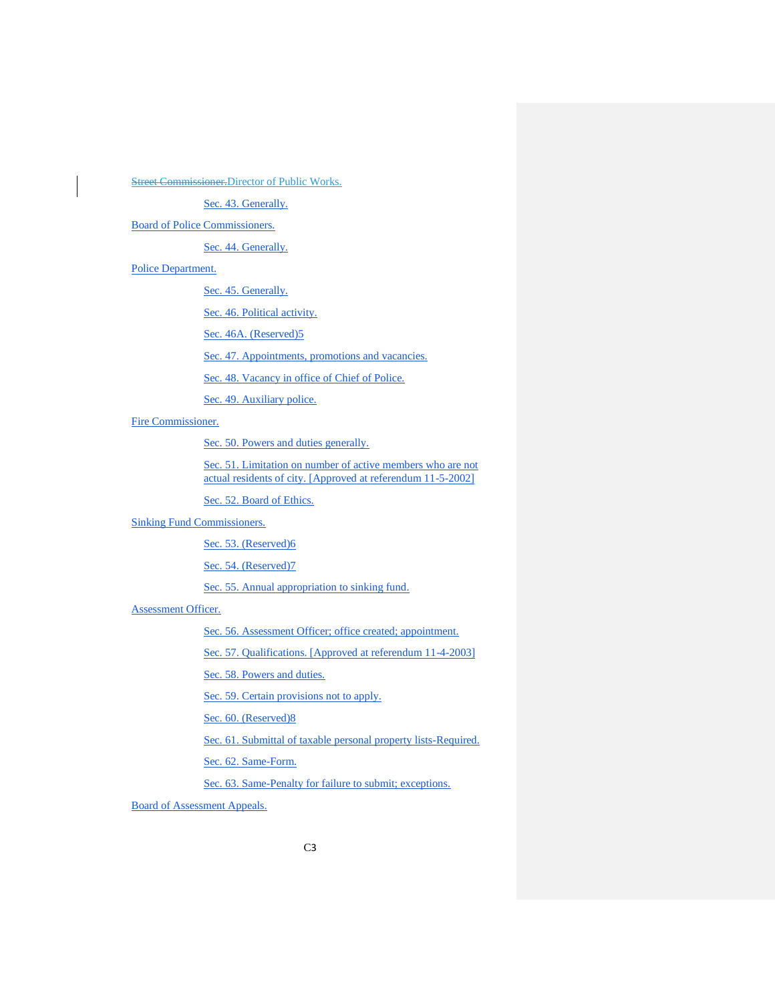**Street Commissioner[.Director of Public Works.](#page-24-0)** 

[Sec. 43. Generally.](#page-24-1)

[Board of Police Commissioners.](#page-24-2)

[Sec. 44. Generally.](#page-24-3)

## [Police Department.](#page-25-0)

[Sec. 45. Generally.](#page-25-1)

[Sec. 46. Political activity.](#page-26-0)

[Sec. 46A. \(Reserved\)5](#page-26-1)

[Sec. 47. Appointments, promotions and vacancies.](#page-26-2)

[Sec. 48. Vacancy in office of Chief of Police.](#page-27-0)

[Sec. 49. Auxiliary police.](#page-28-0)

[Fire Commissioner.](#page-28-1)

[Sec. 50. Powers and duties generally.](#page-28-2)

Sec. 51. Limitation on number of active members who are not [actual residents of city. \[Approved at referendum 11-5-2002\]](#page-29-0)

[Sec. 52. Board of Ethics.](#page-29-1)

# [Sinking Fund Commissioners.](#page-30-0)

Sec. 53. (Reserved)6

Sec. 54. (Reserved)7

Sec. 55. Annual appropriation to sinking fund.

# [Assessment Officer.](#page-30-1)

[Sec. 56. Assessment Officer; office created; appointment.](#page-30-2)

[Sec. 57. Qualifications. \[Approved at referendum 11-4-2003\]](#page-30-3)

[Sec. 58. Powers and duties.](#page-30-4)

[Sec. 59. Certain provisions not to apply.](#page-31-0)

[Sec. 60. \(Reserved\)8](#page-31-1)

[Sec. 61. Submittal of taxable personal property lists-Required.](#page-31-2)

[Sec. 62. Same-Form.](#page-31-3)

[Sec. 63. Same-Penalty for failure to submit; exceptions.](#page-32-0)

[Board of Assessment Appeals.](#page-32-1)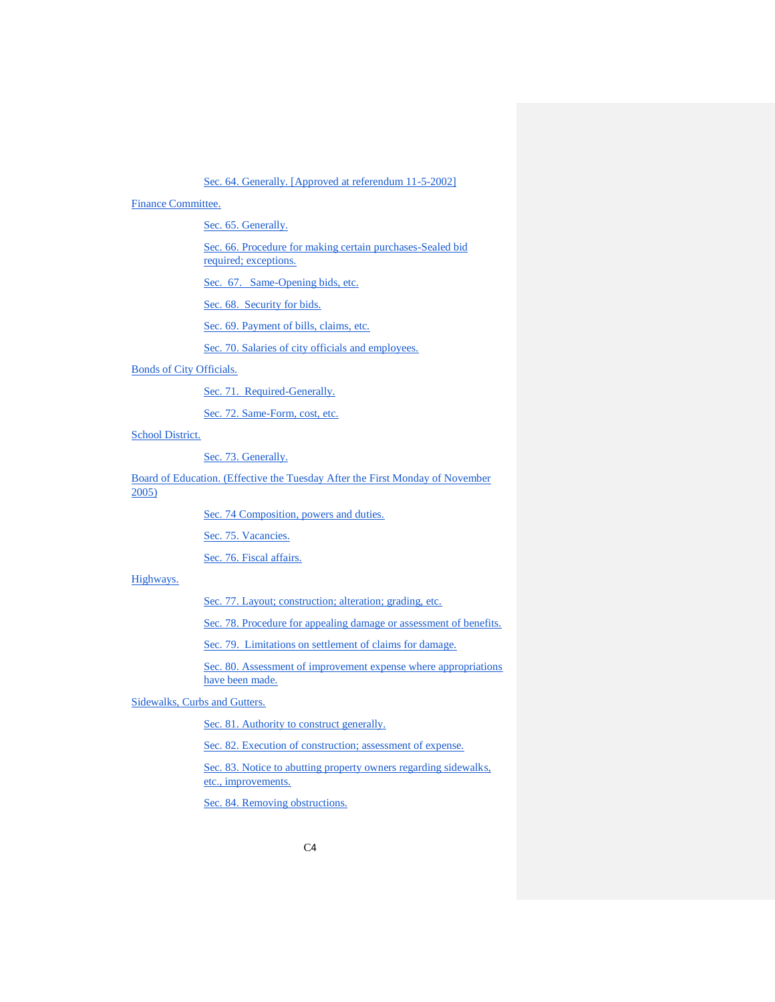[Sec. 64. Generally. \[Approved at referendum 11-5-2002\]](#page-32-2)

## [Finance Committee.](#page-32-3)

[Sec. 65. Generally.](#page-32-4)

Sec. 66. Procedure [for making certain purchases-Sealed bid](#page-33-0)  [required; exceptions.](#page-33-0)

[Sec. 67. Same-Opening bids, etc.](#page-34-0)

[Sec. 68. Security for bids.](#page-35-0)

[Sec. 69. Payment of bills, claims, etc.](#page-35-1)

[Sec. 70. Salaries of city officials and employees.](#page-36-0)

# [Bonds of City Officials.](#page-36-1)

[Sec. 71. Required-Generally.](#page-36-2)

[Sec. 72. Same-Form, cost, etc.](#page-36-3)

[School District.](#page-37-0)

[Sec. 73. Generally.](#page-37-1)

[Board of Education. \(Effective the Tuesday After the First Monday of November](#page-37-2)  [2005\)](#page-37-2)

[Sec. 74 Composition, powers and duties.](#page-37-3)

[Sec. 75. Vacancies.](#page-38-0)

[Sec. 76. Fiscal affairs.](#page-38-1)

## [Highways.](#page-38-2)

[Sec. 77. Layout; construction; alteration; grading, etc.](#page-38-3)

[Sec. 78. Procedure for appealing damage or assessment of benefits.](#page-39-0)

Sec. 79. Limitations on settlement of claims for damage.

Sec. 80. Assessment of improvement expense where appropriations have been made.

## [Sidewalks, Curbs and Gutters.](#page-39-1)

[Sec. 81. Authority to construct generally.](#page-39-2)

[Sec. 82. Execution of construction; assessment of expense.](#page-39-3)

Sec. 83. Notice to abutting property owners regarding sidewalks, [etc., improvements.](#page-39-4)

[Sec. 84. Removing obstructions.](#page-40-0)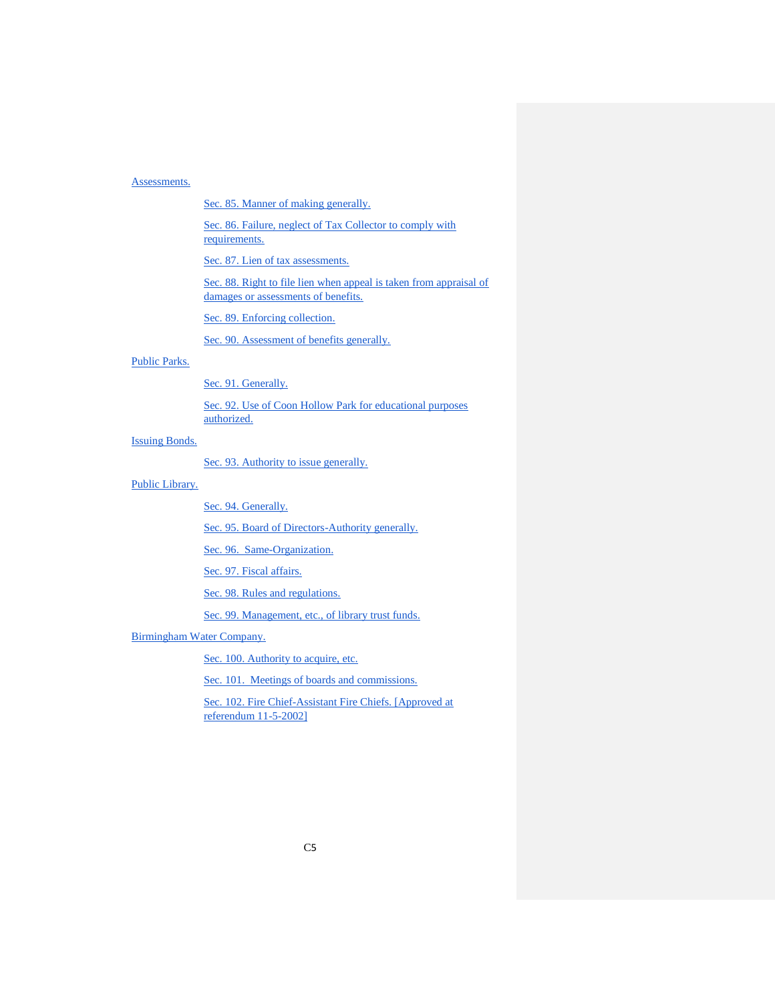## [Assessments.](#page-40-1)

[Sec. 85. Manner of making generally.](#page-40-2)

[Sec. 86. Failure, neglect of Tax Collector to comply with](#page-41-0)  [requirements.](#page-41-0)

[Sec. 87. Lien of tax assessments.](#page-41-1)

Sec. 88. Right to file lien when appeal is taken from appraisal of [damages or assessments of benefits.](#page-42-0)

[Sec. 89. Enforcing collection.](#page-42-1)

[Sec. 90. Assessment of benefits generally.](#page-42-2)

## [Public Parks.](#page-43-0)

[Sec. 91. Generally.](#page-43-1)

[Sec. 92. Use of Coon Hollow Park for educational purposes](#page-43-2)  [authorized.](#page-43-2)

[Issuing Bonds.](#page-43-3)

[Sec. 93. Authority to issue generally.](#page-43-4)

[Public Library.](#page-44-0)

[Sec. 94. Generally.](#page-44-1)

[Sec. 95. Board of Directors-Authority generally.](#page-45-0)

[Sec. 96. Same-Organization.](#page-45-1)

[Sec. 97. Fiscal affairs.](#page-46-0)

[Sec. 98. Rules and regulations.](#page-46-1)

[Sec. 99. Management, etc., of library trust funds.](#page-47-0)

[Birmingham Water](#page-47-1) Company.

Sec. 100. Authority to acquire, etc.

[Sec. 101. Meetings of boards and commissions.](#page-47-2)

[Sec. 102. Fire Chief-Assistant Fire Chiefs. \[Approved at](#page-48-0)  [referendum 11-5-2002\]](#page-48-0)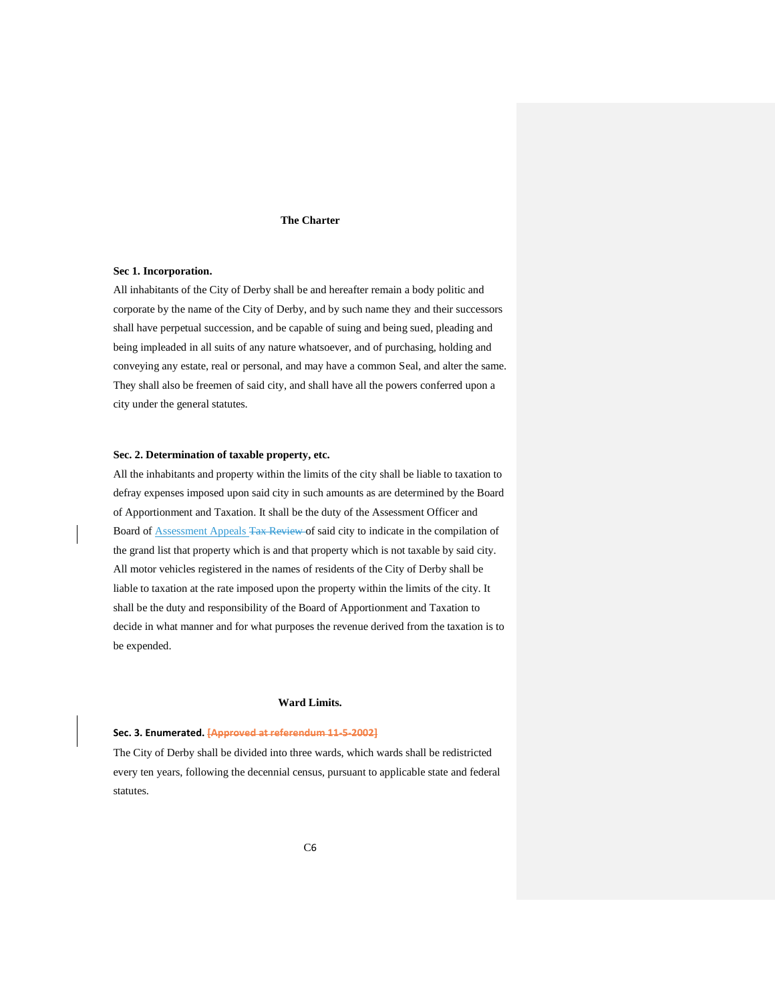#### **The Charter**

## <span id="page-5-0"></span>**Sec 1. Incorporation.**

All inhabitants of the City of Derby shall be and hereafter remain a body politic and corporate by the name of the City of Derby, and by such name they and their successors shall have perpetual succession, and be capable of suing and being sued, pleading and being impleaded in all suits of any nature whatsoever, and of purchasing, holding and conveying any estate, real or personal, and may have a common Seal, and alter the same. They shall also be freemen of said city, and shall have all the powers conferred upon a city under the general statutes.

## <span id="page-5-1"></span>**Sec. 2. Determination of taxable property, etc.**

All the inhabitants and property within the limits of the city shall be liable to taxation to defray expenses imposed upon said city in such amounts as are determined by the Board of Apportionment and Taxation. It shall be the duty of the Assessment Officer and Board of Assessment Appeals Tax Review of said city to indicate in the compilation of the grand list that property which is and that property which is not taxable by said city. All motor vehicles registered in the names of residents of the City of Derby shall be liable to taxation at the rate imposed upon the property within the limits of the city. It shall be the duty and responsibility of the Board of Apportionment and Taxation to decide in what manner and for what purposes the revenue derived from the taxation is to be expended.

## **Ward Limits.**

#### <span id="page-5-3"></span><span id="page-5-2"></span>**Sec. 3. Enumerated. [Approved at referendum 11-5-2002]**

The City of Derby shall be divided into three wards, which wards shall be redistricted every ten years, following the decennial census, pursuant to applicable state and federal statutes.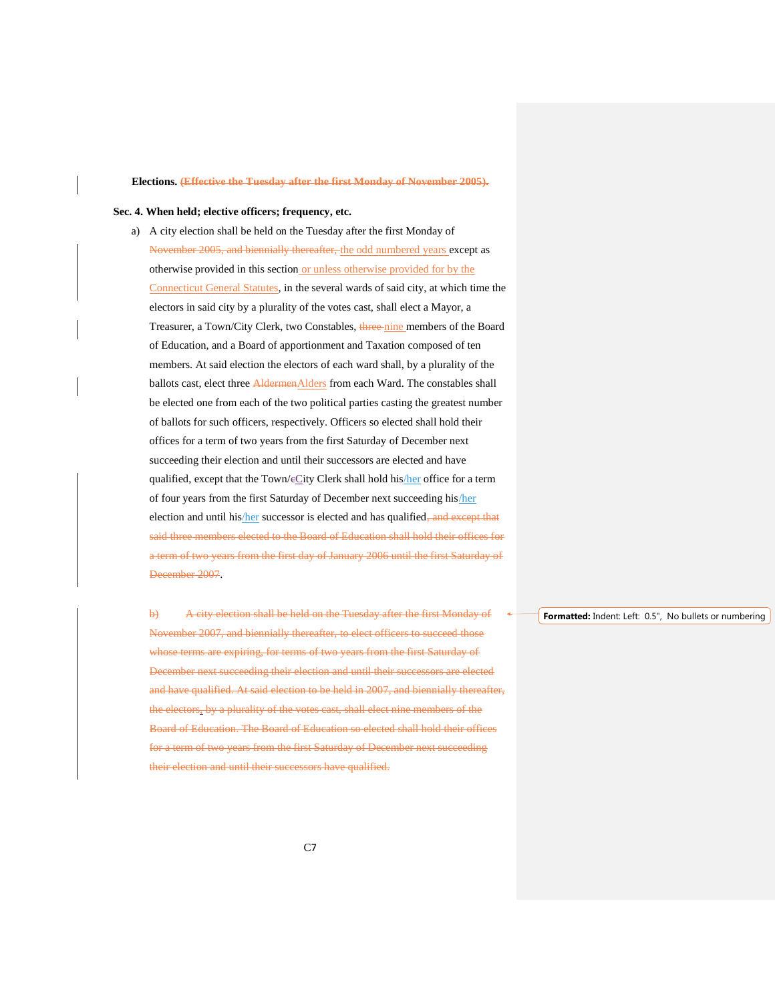#### <span id="page-6-0"></span>**Elections. (Effective the Tuesday after the first Monday of November 2005).**

#### <span id="page-6-1"></span>**Sec. 4. When held; elective officers; frequency, etc.**

a) A city election shall be held on the Tuesday after the first Monday of November 2005, and biennially thereafter, the odd numbered years except as otherwise provided in this section or unless otherwise provided for by the Connecticut General Statutes, in the several wards of said city, at which time the electors in said city by a plurality of the votes cast, shall elect a Mayor, a Treasurer, a Town/City Clerk, two Constables, three nine members of the Board of Education, and a Board of apportionment and Taxation composed of ten members. At said election the electors of each ward shall, by a plurality of the ballots cast, elect three **AldermenAlders** from each Ward. The constables shall be elected one from each of the two political parties casting the greatest number of ballots for such officers, respectively. Officers so elected shall hold their offices for a term of two years from the first Saturday of December next succeeding their election and until their successors are elected and have qualified, except that the Town/eCity Clerk shall hold his/her office for a term of four years from the first Saturday of December next succeeding his/her election and until his/her successor is elected and has qualified, and except that said three members elected to the Board of Education shall hold their offices for a term of two years from the first day of January 2006 until the first Saturday of December 2007.

b) A city election shall be held on the Tuesday after the first Monday of November 2007, and biennially thereafter, to elect officers to succeed those whose terms are expiring, for terms of two years from the first Saturday of December next succeeding their election and until their successors are elected and have qualified. At said election to be held in 2007, and biennially thereafter, the electors, by a plurality of the votes cast, shall elect nine members of the Board of Education. The Board of Education so elected shall hold their offices for a term of two years from the first Saturday of December next succeeding their election and until their successors have qualified.

**Formatted:** Indent: Left: 0.5", No bullets or numbering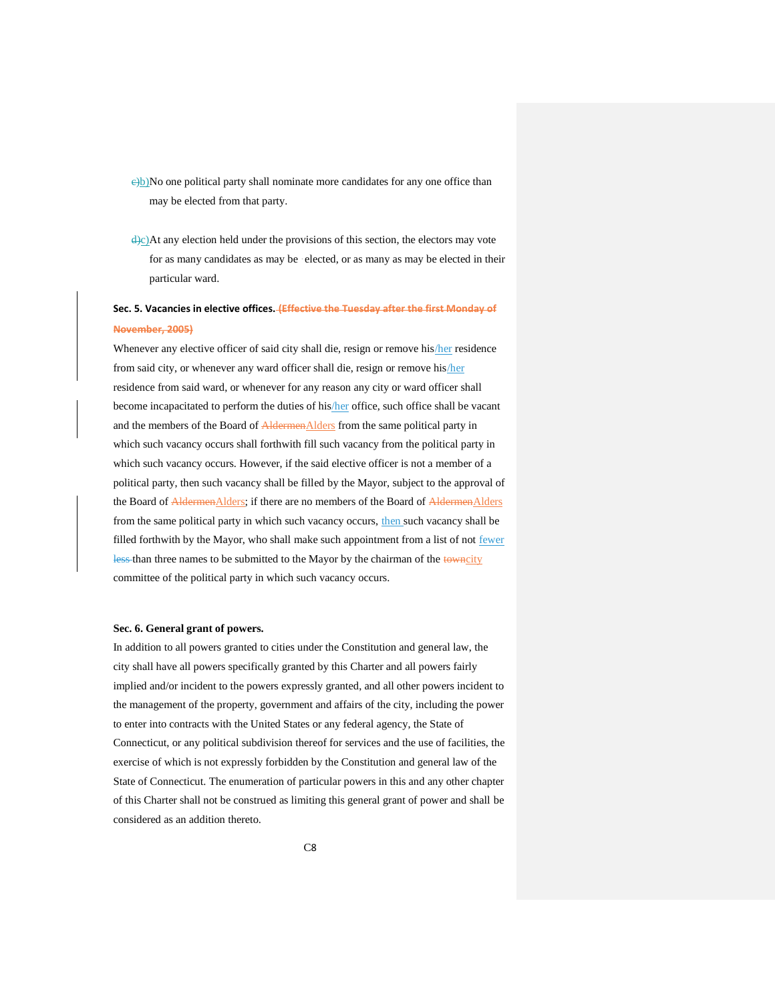$e/b$ )No one political party shall nominate more candidates for any one office than may be elected from that party.

 $\dot{\theta}$ ). At any election held under the provisions of this section, the electors may vote for as many candidates as may be ·elected, or as many as may be elected in their particular ward.

# <span id="page-7-0"></span>**Sec. 5. Vacancies in elective offices. (Effective the Tuesday after the first Monday of November, 2005)**

Whenever any elective officer of said city shall die, resign or remove his/her residence from said city, or whenever any ward officer shall die, resign or remove his/her residence from said ward, or whenever for any reason any city or ward officer shall become incapacitated to perform the duties of his/her office, such office shall be vacant and the members of the Board of AldermenAlders from the same political party in which such vacancy occurs shall forthwith fill such vacancy from the political party in which such vacancy occurs. However, if the said elective officer is not a member of a political party, then such vacancy shall be filled by the Mayor, subject to the approval of the Board of AldermenAlders; if there are no members of the Board of AldermenAlders from the same political party in which such vacancy occurs, then such vacancy shall be filled forthwith by the Mayor, who shall make such appointment from a list of not fewer less than three names to be submitted to the Mayor by the chairman of the towncity committee of the political party in which such vacancy occurs.

## <span id="page-7-1"></span>**Sec. 6. General grant of powers.**

In addition to all powers granted to cities under the Constitution and general law, the city shall have all powers specifically granted by this Charter and all powers fairly implied and/or incident to the powers expressly granted, and all other powers incident to the management of the property, government and affairs of the city, including the power to enter into contracts with the United States or any federal agency, the State of Connecticut, or any political subdivision thereof for services and the use of facilities, the exercise of which is not expressly forbidden by the Constitution and general law of the State of Connecticut. The enumeration of particular powers in this and any other chapter of this Charter shall not be construed as limiting this general grant of power and shall be considered as an addition thereto.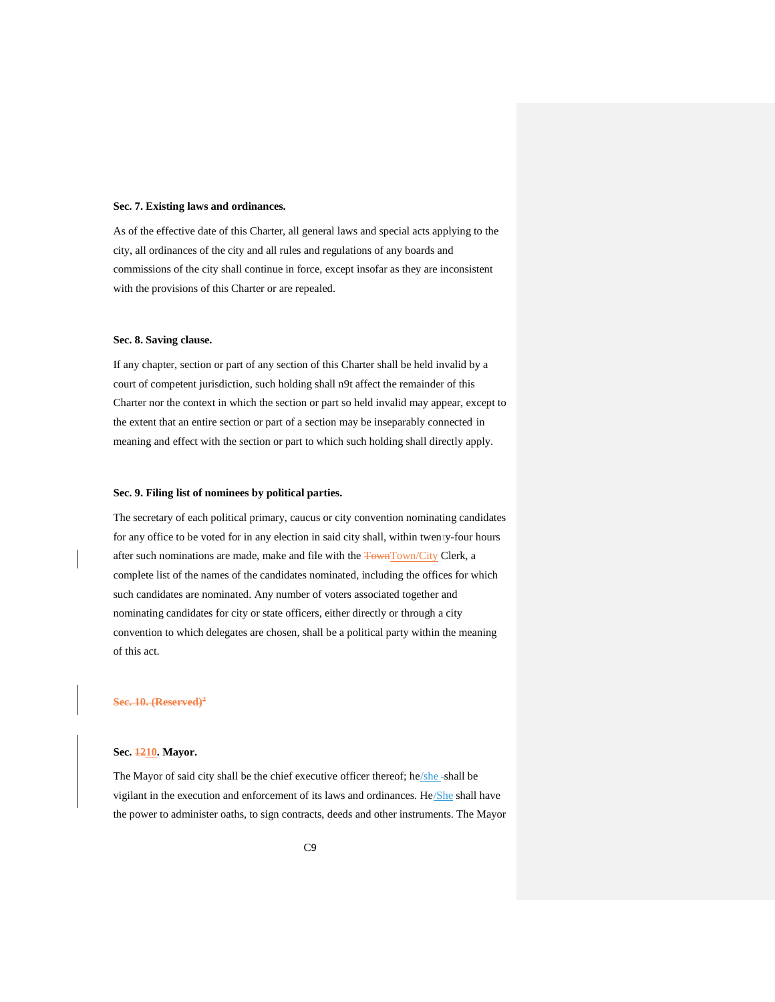#### <span id="page-8-0"></span>**Sec. 7. Existing laws and ordinances.**

As of the effective date of this Charter, all general laws and special acts applying to the city, all ordinances of the city and all rules and regulations of any boards and commissions of the city shall continue in force, except insofar as they are inconsistent with the provisions of this Charter or are repealed.

#### <span id="page-8-1"></span>**Sec. 8. Saving clause.**

If any chapter, section or part of any section of this Charter shall be held invalid by a court of competent jurisdiction, such holding shall n9t affect the remainder of this Charter nor the context in which the section or part so held invalid may appear, except to the extent that an entire section or part of a section may be inseparably connected in meaning and effect with the section or part to which such holding shall directly apply.

## <span id="page-8-2"></span>**Sec. 9. Filing list of nominees by political parties.**

The secretary of each political primary, caucus or city convention nominating candidates for any office to be voted for in any election in said city shall, within twenty-four hours after such nominations are made, make and file with the **TownTown/City Clerk**, a complete list of the names of the candidates nominated, including the offices for which such candidates are nominated. Any number of voters associated together and nominating candidates for city or state officers, either directly or through a city convention to which delegates are chosen, shall be a political party within the meaning of this act.

#### <span id="page-8-3"></span>**Sec. 10. (Reserved)<sup>2</sup>**

## <span id="page-8-4"></span>**Sec. 1210. Mayor.**

The Mayor of said city shall be the chief executive officer thereof; he/she-shall be vigilant in the execution and enforcement of its laws and ordinances. He/She shall have the power to administer oaths, to sign contracts, deeds and other instruments. The Mayor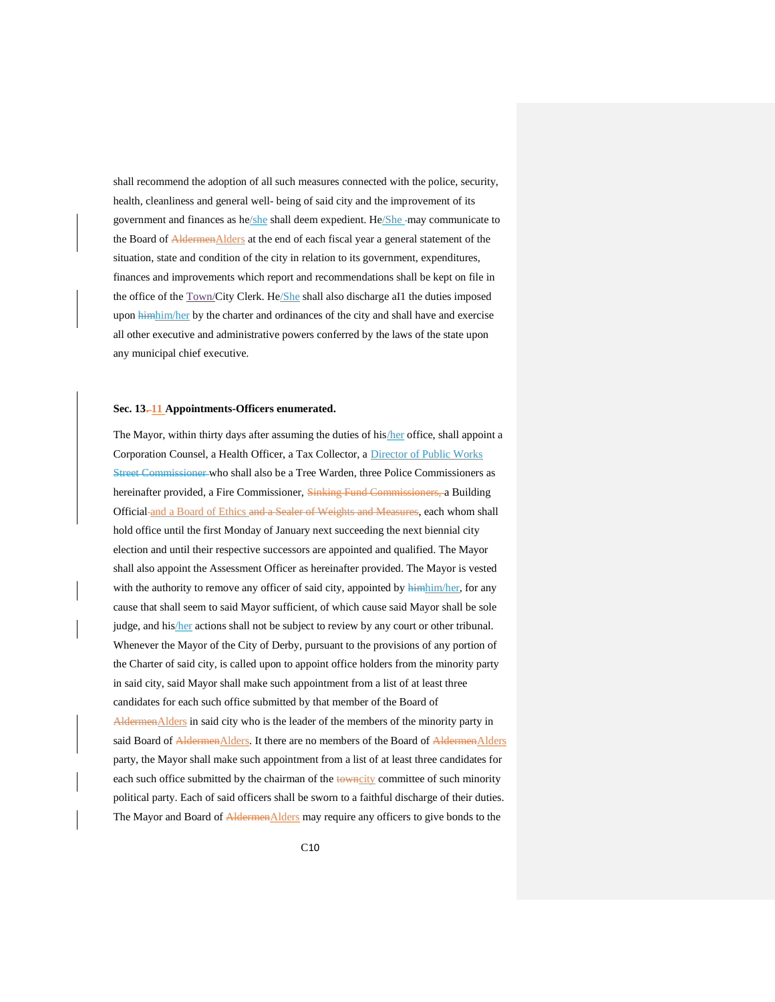shall recommend the adoption of all such measures connected with the police, security, health, cleanliness and general well- being of said city and the improvement of its government and finances as he/she shall deem expedient. He/She-may communicate to the Board of AldermenAlders at the end of each fiscal year a general statement of the situation, state and condition of the city in relation to its government, expenditures, finances and improvements which report and recommendations shall be kept on file in the office of the **Town/City Clerk**. He/She shall also discharge aI1 the duties imposed upon himhim/her by the charter and ordinances of the city and shall have and exercise all other executive and administrative powers conferred by the laws of the state upon any municipal chief executive.

## <span id="page-9-0"></span>**Sec. 13. 11 Appointments-Officers enumerated.**

The Mayor, within thirty days after assuming the duties of his/her office, shall appoint a Corporation Counsel, a Health Officer, a Tax Collector, a Director of Public Works Street Commissioner who shall also be a Tree Warden, three Police Commissioners as hereinafter provided, a Fire Commissioner, Sinking Fund Commissioners, a Building Official and a Board of Ethics and a Sealer of Weights and Measures, each whom shall hold office until the first Monday of January next succeeding the next biennial city election and until their respective successors are appointed and qualified. The Mayor shall also appoint the Assessment Officer as hereinafter provided. The Mayor is vested with the authority to remove any officer of said city, appointed by  $\frac{1}{2}$  himhim/her, for any cause that shall seem to said Mayor sufficient, of which cause said Mayor shall be sole judge, and his/her actions shall not be subject to review by any court or other tribunal. Whenever the Mayor of the City of Derby, pursuant to the provisions of any portion of the Charter of said city, is called upon to appoint office holders from the minority party in said city, said Mayor shall make such appointment from a list of at least three candidates for each such office submitted by that member of the Board of AldermenAlders in said city who is the leader of the members of the minority party in said Board of AldermenAlders. It there are no members of the Board of AldermenAlders party, the Mayor shall make such appointment from a list of at least three candidates for each such office submitted by the chairman of the towncity committee of such minority political party. Each of said officers shall be sworn to a faithful discharge of their duties. The Mayor and Board of AldermenAlders may require any officers to give bonds to the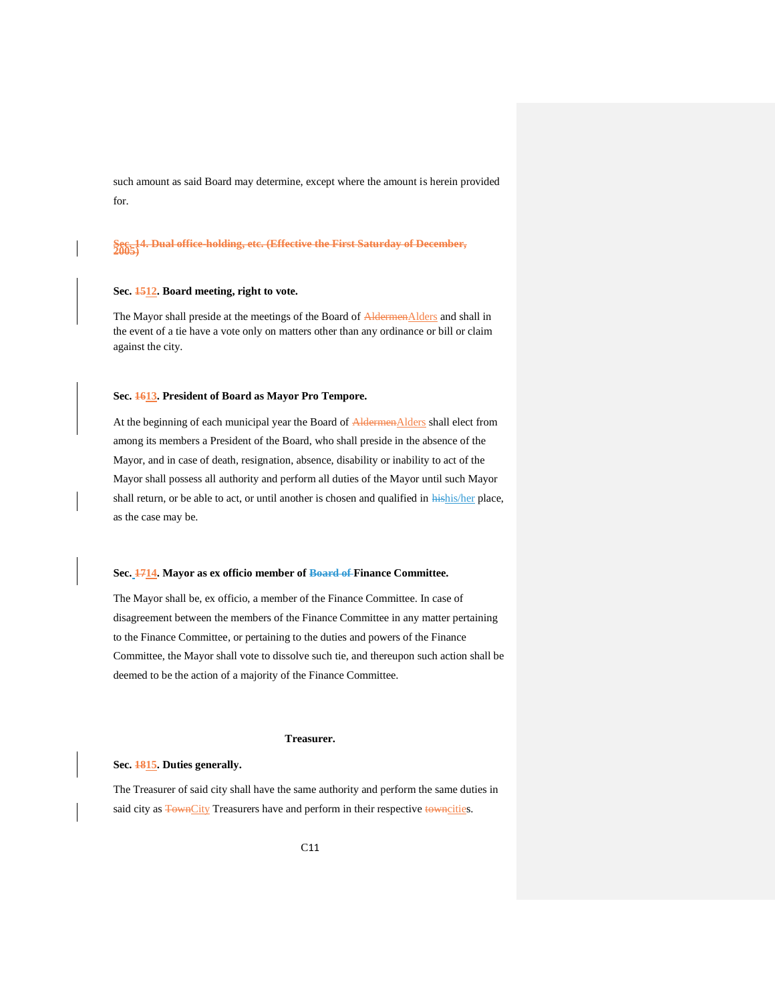such amount as said Board may determine, except where the amount is herein provided for.

<span id="page-10-0"></span>**Sec. 14. Dual office-holding, etc. (Effective the First Saturday of December, 2005)**

## <span id="page-10-1"></span>**Sec. 1512. Board meeting, right to vote.**

The Mayor shall preside at the meetings of the Board of AldermenAlders and shall in the event of a tie have a vote only on matters other than any ordinance or bill or claim against the city.

## <span id="page-10-2"></span>**Sec. 1613. President of Board as Mayor Pro Tempore.**

At the beginning of each municipal year the Board of AldermenAlders shall elect from among its members a President of the Board, who shall preside in the absence of the Mayor, and in case of death, resignation, absence, disability or inability to act of the Mayor shall possess all authority and perform all duties of the Mayor until such Mayor shall return, or be able to act, or until another is chosen and qualified in hishis/her place, as the case may be.

#### <span id="page-10-3"></span>**Sec. 1714. Mayor as ex officio member of Board of Finance Committee.**

The Mayor shall be, ex officio, a member of the Finance Committee. In case of disagreement between the members of the Finance Committee in any matter pertaining to the Finance Committee, or pertaining to the duties and powers of the Finance Committee, the Mayor shall vote to dissolve such tie, and thereupon such action shall be deemed to be the action of a majority of the Finance Committee.

## **Treasurer.**

## <span id="page-10-5"></span><span id="page-10-4"></span>**Sec. 1815. Duties generally.**

The Treasurer of said city shall have the same authority and perform the same duties in said city as **TownCity** Treasurers have and perform in their respective towncities.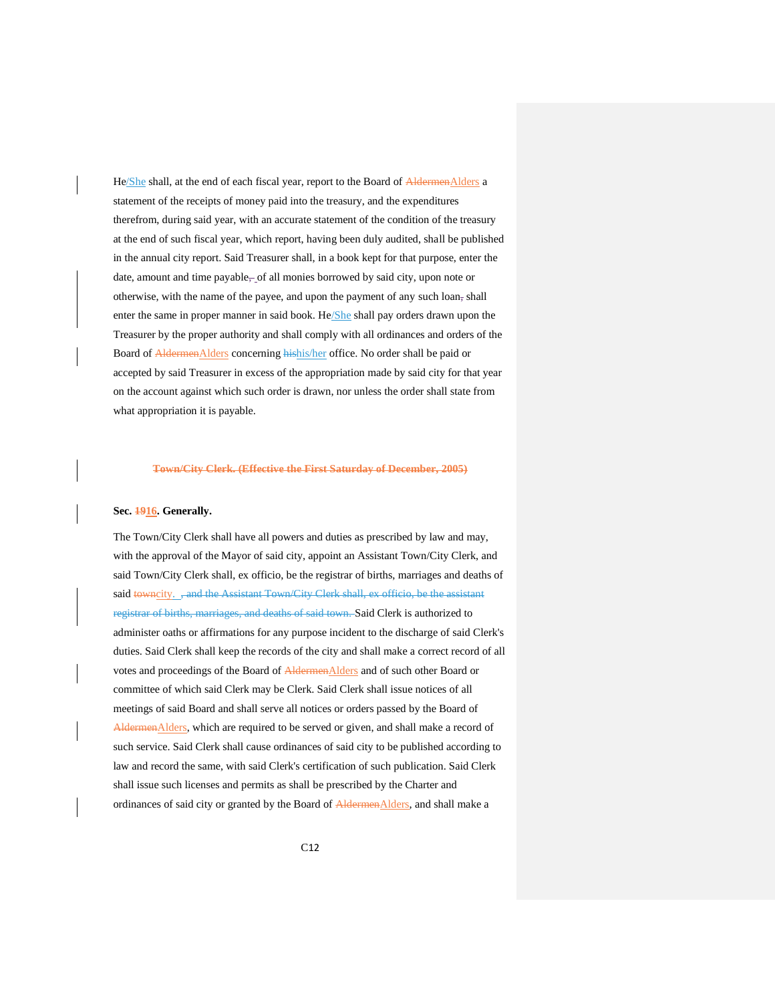He/She shall, at the end of each fiscal year, report to the Board of AldermenAlders a statement of the receipts of money paid into the treasury, and the expenditures therefrom, during said year, with an accurate statement of the condition of the treasury at the end of such fiscal year, which report, having been duly audited, shall be published in the annual city report. Said Treasurer shall, in a book kept for that purpose, enter the date, amount and time payable, of all monies borrowed by said city, upon note or otherwise, with the name of the payee, and upon the payment of any such loan, shall enter the same in proper manner in said book. He/She shall pay orders drawn upon the Treasurer by the proper authority and shall comply with all ordinances and orders of the Board of AldermenAlders concerning hishis/her office. No order shall be paid or accepted by said Treasurer in excess of the appropriation made by said city for that year on the account against which such order is drawn, nor unless the order shall state from what appropriation it is payable.

#### <span id="page-11-0"></span>**Town/City Clerk. (Effective the First Saturday of December, 2005)**

#### <span id="page-11-1"></span>**Sec. 1916. Generally.**

The Town/City Clerk shall have all powers and duties as prescribed by law and may, with the approval of the Mayor of said city, appoint an Assistant Town/City Clerk, and said Town/City Clerk shall, ex officio, be the registrar of births, marriages and deaths of said towncity. , and the Assistant Town/City Clerk shall, ex officio, be the assistant registrar of births, marriages, and deaths of said town. Said Clerk is authorized to administer oaths or affirmations for any purpose incident to the discharge of said Clerk's duties. Said Clerk shall keep the records of the city and shall make a correct record of all votes and proceedings of the Board of AldermenAlders and of such other Board or committee of which said Clerk may be Clerk. Said Clerk shall issue notices of all meetings of said Board and shall serve all notices or orders passed by the Board of AldermenAlders, which are required to be served or given, and shall make a record of such service. Said Clerk shall cause ordinances of said city to be published according to law and record the same, with said Clerk's certification of such publication. Said Clerk shall issue such licenses and permits as shall be prescribed by the Charter and ordinances of said city or granted by the Board of AldermenAlders, and shall make a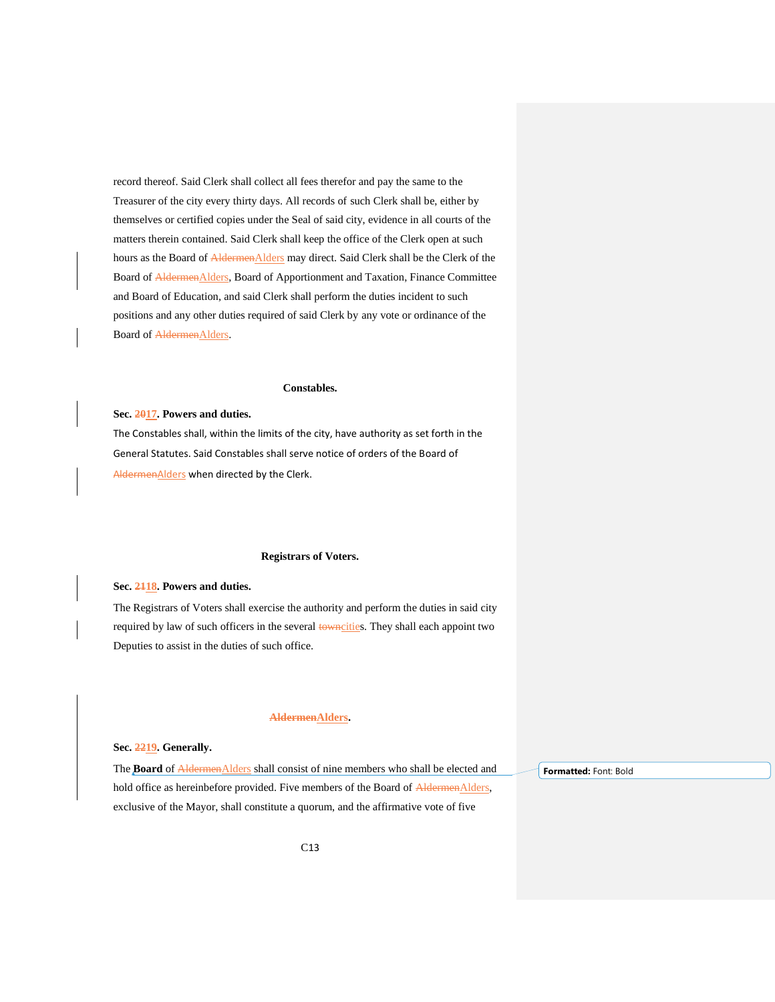record thereof. Said Clerk shall collect all fees therefor and pay the same to the Treasurer of the city every thirty days. All records of such Clerk shall be, either by themselves or certified copies under the Seal of said city, evidence in all courts of the matters therein contained. Said Clerk shall keep the office of the Clerk open at such hours as the Board of **AldermenAlders** may direct. Said Clerk shall be the Clerk of the Board of **AldermenAlders**, Board of Apportionment and Taxation, Finance Committee and Board of Education, and said Clerk shall perform the duties incident to such positions and any other duties required of said Clerk by any vote or ordinance of the Board of **AldermenAlders**.

#### **Constables.**

#### <span id="page-12-1"></span><span id="page-12-0"></span>**Sec. 2017. Powers and duties.**

The Constables shall, within the limits of the city, have authority as set forth in the General Statutes. Said Constables shall serve notice of orders of the Board of AldermenAlders when directed by the Clerk.

## **Registrars of Voters.**

## <span id="page-12-3"></span><span id="page-12-2"></span>**Sec. 2118. Powers and duties.**

The Registrars of Voters shall exercise the authority and perform the duties in said city required by law of such officers in the several towncities. They shall each appoint two Deputies to assist in the duties of such office.

#### **AldermenAlders.**

#### <span id="page-12-5"></span><span id="page-12-4"></span>**Sec. 2219. Generally.**

The **Board** of **AldermenAlders** shall consist of nine members who shall be elected and hold office as hereinbefore provided. Five members of the Board of AldermenAlders, exclusive of the Mayor, shall constitute a quorum, and the affirmative vote of five **Formatted:** Font: Bold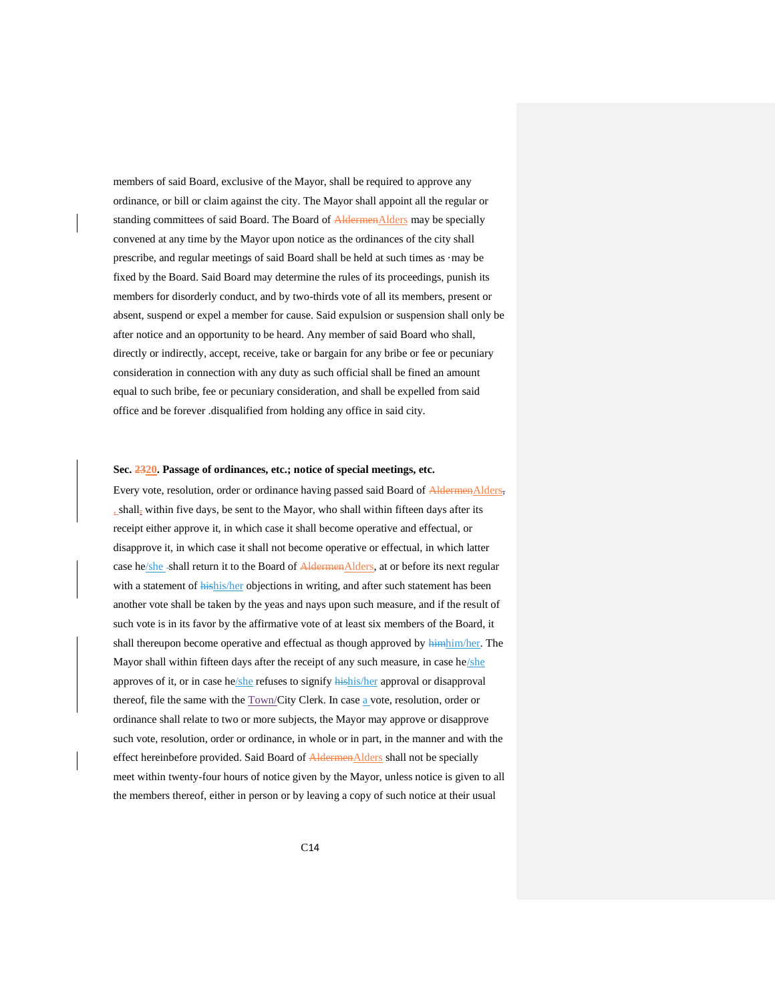members of said Board, exclusive of the Mayor, shall be required to approve any ordinance, or bill or claim against the city. The Mayor shall appoint all the regular or standing committees of said Board. The Board of **AldermenAlders** may be specially convened at any time by the Mayor upon notice as the ordinances of the city shall prescribe, and regular meetings of said Board shall be held at such times as ·may be fixed by the Board. Said Board may determine the rules of its proceedings, punish its members for disorderly conduct, and by two-thirds vote of all its members, present or absent, suspend or expel a member for cause. Said expulsion or suspension shall only be after notice and an opportunity to be heard. Any member of said Board who shall, directly or indirectly, accept, receive, take or bargain for any bribe or fee or pecuniary consideration in connection with any duty as such official shall be fined an amount equal to such bribe, fee or pecuniary consideration, and shall be expelled from said office and be forever .disqualified from holding any office in said city.

#### <span id="page-13-0"></span>**Sec. 2320. Passage of ordinances, etc.; notice of special meetings, etc.**

Every vote, resolution, order or ordinance having passed said Board of AldermenAlders, , shall, within five days, be sent to the Mayor, who shall within fifteen days after its receipt either approve it, in which case it shall become operative and effectual, or disapprove it, in which case it shall not become operative or effectual, in which latter case he/she-shall return it to the Board of AldermenAlders, at or before its next regular with a statement of hishis/her objections in writing, and after such statement has been another vote shall be taken by the yeas and nays upon such measure, and if the result of such vote is in its favor by the affirmative vote of at least six members of the Board, it shall thereupon become operative and effectual as though approved by  $\frac{\text{H}_i}{\text{H}_i}$ Mayor shall within fifteen days after the receipt of any such measure, in case he/she approves of it, or in case he/she refuses to signify hishis/her approval or disapproval thereof, file the same with the  $\underline{Town/C}$ ity Clerk. In case  $\underline{a}$  vote, resolution, order or ordinance shall relate to two or more subjects, the Mayor may approve or disapprove such vote, resolution, order or ordinance, in whole or in part, in the manner and with the effect hereinbefore provided. Said Board of **AldermenAlders** shall not be specially meet within twenty-four hours of notice given by the Mayor, unless notice is given to all the members thereof, either in person or by leaving a copy of such notice at their usual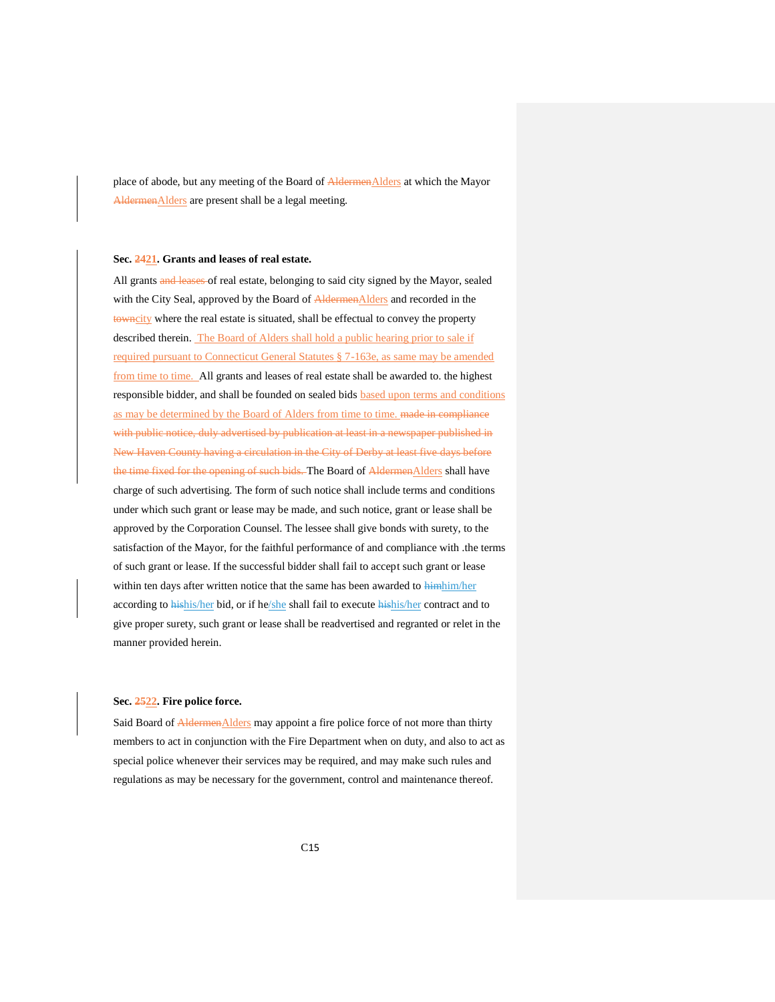place of abode, but any meeting of the Board of AldermenAlders at which the Mayor AldermenAlders are present shall be a legal meeting.

## <span id="page-14-0"></span>**Sec. 2421. Grants and leases of real estate.**

All grants and leases of real estate, belonging to said city signed by the Mayor, sealed with the City Seal, approved by the Board of **AldermenAlders** and recorded in the towncity where the real estate is situated, shall be effectual to convey the property described therein. The Board of Alders shall hold a public hearing prior to sale if required pursuant to Connecticut General Statutes § 7-163e, as same may be amended from time to time. All grants and leases of real estate shall be awarded to. the highest responsible bidder, and shall be founded on sealed bids based upon terms and conditions as may be determined by the Board of Alders from time to time. made in compliance with public notice, duly advertised by publication at least in a newspaper published in New Haven County having a circulation in the City of Derby at least five days before the time fixed for the opening of such bids. The Board of AldermenAlders shall have charge of such advertising. The form of such notice shall include terms and conditions under which such grant or lease may be made, and such notice, grant or lease shall be approved by the Corporation Counsel. The lessee shall give bonds with surety, to the satisfaction of the Mayor, for the faithful performance of and compliance with .the terms of such grant or lease. If the successful bidder shall fail to accept such grant or lease within ten days after written notice that the same has been awarded to himhim/her according to hishis/her bid, or if he/she shall fail to execute hishis/her contract and to give proper surety, such grant or lease shall be readvertised and regranted or relet in the manner provided herein.

## <span id="page-14-1"></span>**Sec. 2522. Fire police force.**

Said Board of AldermenAlders may appoint a fire police force of not more than thirty members to act in conjunction with the Fire Department when on duty, and also to act as special police whenever their services may be required, and may make such rules and regulations as may be necessary for the government, control and maintenance thereof.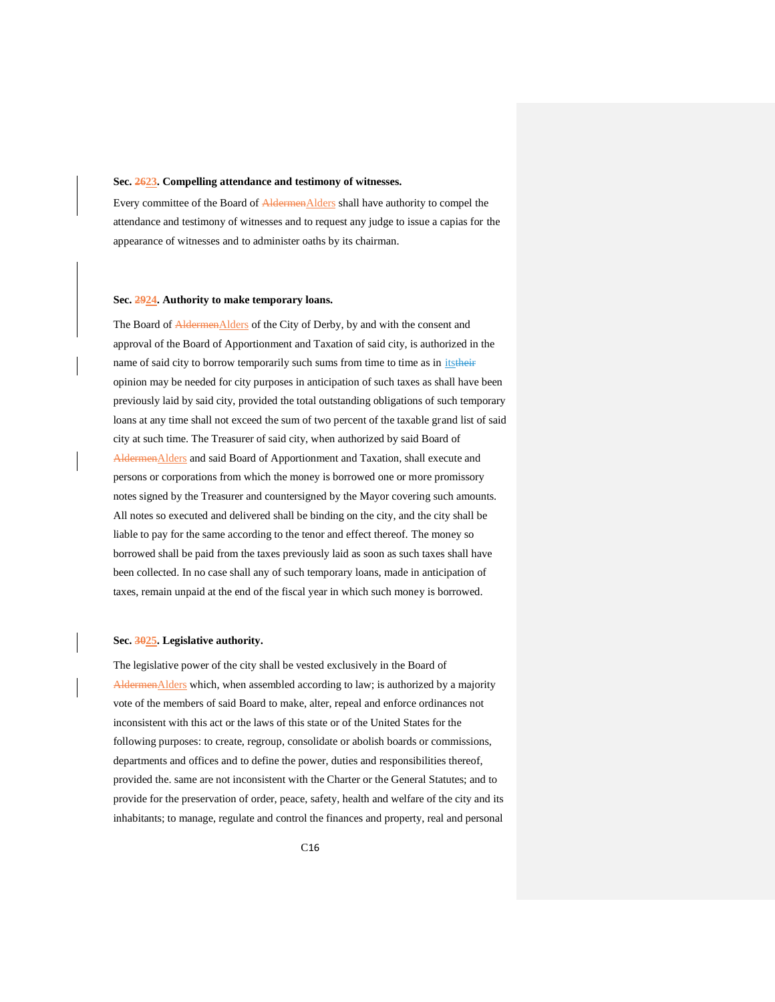#### <span id="page-15-0"></span>**Sec. 2623. Compelling attendance and testimony of witnesses.**

Every committee of the Board of AldermenAlders shall have authority to compel the attendance and testimony of witnesses and to request any judge to issue a capias for the appearance of witnesses and to administer oaths by its chairman.

#### <span id="page-15-1"></span>**Sec. 2924. Authority to make temporary loans.**

The Board of AldermenAlders of the City of Derby, by and with the consent and approval of the Board of Apportionment and Taxation of said city, is authorized in the name of said city to borrow temporarily such sums from time to time as in *itstheir* opinion may be needed for city purposes in anticipation of such taxes as shall have been previously laid by said city, provided the total outstanding obligations of such temporary loans at any time shall not exceed the sum of two percent of the taxable grand list of said city at such time. The Treasurer of said city, when authorized by said Board of AldermenAlders and said Board of Apportionment and Taxation, shall execute and persons or corporations from which the money is borrowed one or more promissory notes signed by the Treasurer and countersigned by the Mayor covering such amounts. All notes so executed and delivered shall be binding on the city, and the city shall be liable to pay for the same according to the tenor and effect thereof. The money so borrowed shall be paid from the taxes previously laid as soon as such taxes shall have been collected. In no case shall any of such temporary loans, made in anticipation of taxes, remain unpaid at the end of the fiscal year in which such money is borrowed.

#### <span id="page-15-2"></span>**Sec. 3025. Legislative authority.**

The legislative power of the city shall be vested exclusively in the Board of AldermenAlders which, when assembled according to law; is authorized by a majority vote of the members of said Board to make, alter, repeal and enforce ordinances not inconsistent with this act or the laws of this state or of the United States for the following purposes: to create, regroup, consolidate or abolish boards or commissions, departments and offices and to define the power, duties and responsibilities thereof, provided the. same are not inconsistent with the Charter or the General Statutes; and to provide for the preservation of order, peace, safety, health and welfare of the city and its inhabitants; to manage, regulate and control the finances and property, real and personal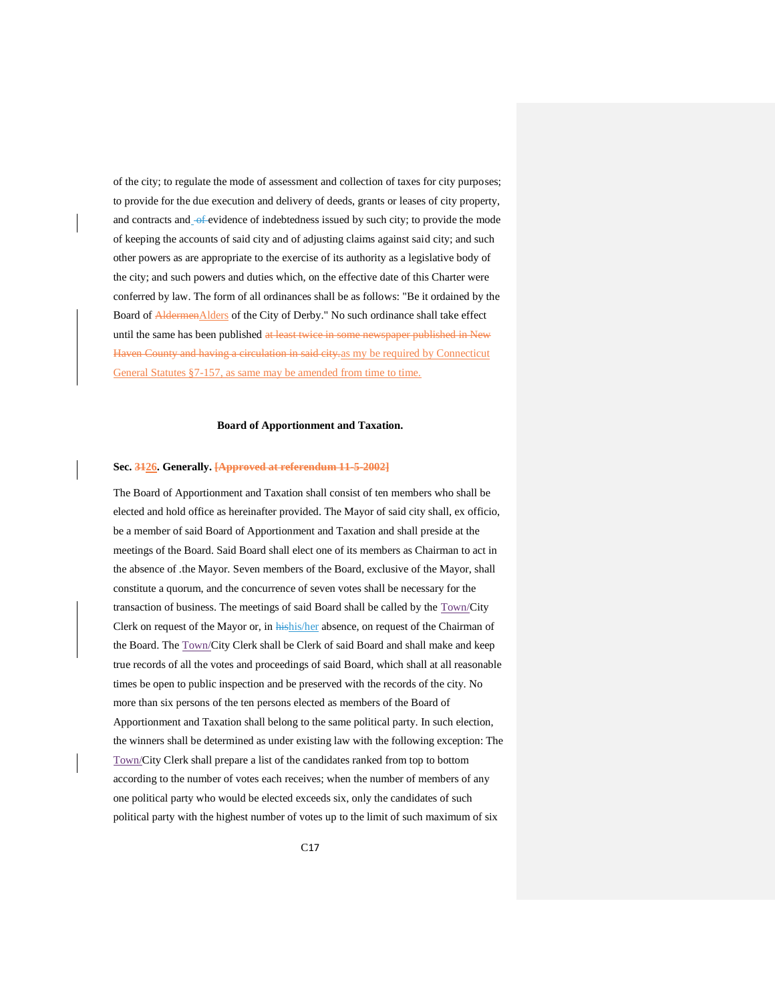of the city; to regulate the mode of assessment and collection of taxes for city purposes; to provide for the due execution and delivery of deeds, grants or leases of city property, and contracts and of evidence of indebtedness issued by such city; to provide the mode of keeping the accounts of said city and of adjusting claims against said city; and such other powers as are appropriate to the exercise of its authority as a legislative body of the city; and such powers and duties which, on the effective date of this Charter were conferred by law. The form of all ordinances shall be as follows: "Be it ordained by the Board of AldermenAlders of the City of Derby." No such ordinance shall take effect until the same has been published at least twice in some newspaper published in New Haven County and having a circulation in said city. as my be required by Connecticut General Statutes §7-157, as same may be amended from time to time.

## **Board of Apportionment and Taxation.**

#### <span id="page-16-1"></span><span id="page-16-0"></span>**Sec. 3126. Generally. [Approved at referendum 11-5-2002]**

The Board of Apportionment and Taxation shall consist of ten members who shall be elected and hold office as hereinafter provided. The Mayor of said city shall, ex officio, be a member of said Board of Apportionment and Taxation and shall preside at the meetings of the Board. Said Board shall elect one of its members as Chairman to act in the absence of .the Mayor. Seven members of the Board, exclusive of the Mayor, shall constitute a quorum, and the concurrence of seven votes shall be necessary for the transaction of business. The meetings of said Board shall be called by the Town/City Clerk on request of the Mayor or, in hishis/her absence, on request of the Chairman of the Board. The Town/City Clerk shall be Clerk of said Board and shall make and keep true records of all the votes and proceedings of said Board, which shall at all reasonable times be open to public inspection and be preserved with the records of the city. No more than six persons of the ten persons elected as members of the Board of Apportionment and Taxation shall belong to the same political party. In such election, the winners shall be determined as under existing law with the following exception: The Town/City Clerk shall prepare a list of the candidates ranked from top to bottom according to the number of votes each receives; when the number of members of any one political party who would be elected exceeds six, only the candidates of such political party with the highest number of votes up to the limit of such maximum of six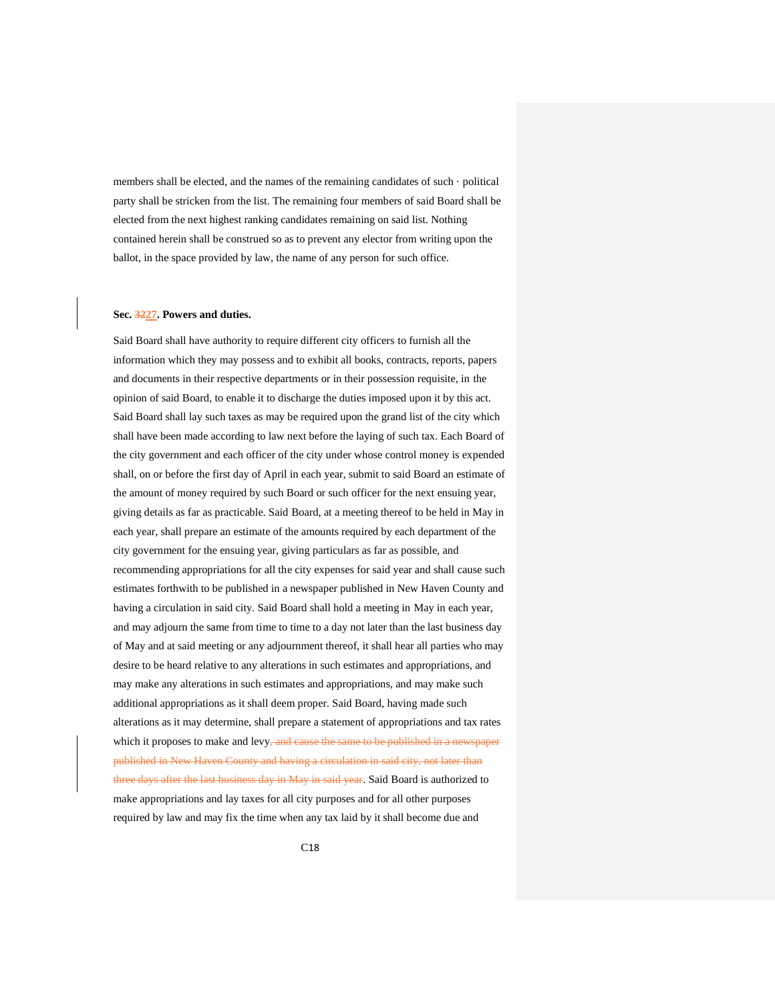members shall be elected, and the names of the remaining candidates of such · political party shall be stricken from the list. The remaining four members of said Board shall be elected from the next highest ranking candidates remaining on said list. Nothing contained herein shall be construed so as to prevent any elector from writing upon the ballot, in the space provided by law, the name of any person for such office.

## <span id="page-17-0"></span>**Sec. 3227. Powers and duties.**

Said Board shall have authority to require different city officers to furnish all the information which they may possess and to exhibit all books, contracts, reports, papers and documents in their respective departments or in their possession requisite, in the opinion of said Board, to enable it to discharge the duties imposed upon it by this act. Said Board shall lay such taxes as may be required upon the grand list of the city which shall have been made according to law next before the laying of such tax. Each Board of the city government and each officer of the city under whose control money is expended shall, on or before the first day of April in each year, submit to said Board an estimate of the amount of money required by such Board or such officer for the next ensuing year, giving details as far as practicable. Said Board, at a meeting thereof to be held in May in each year, shall prepare an estimate of the amounts required by each department of the city government for the ensuing year, giving particulars as far as possible, and recommending appropriations for all the city expenses for said year and shall cause such estimates forthwith to be published in a newspaper published in New Haven County and having a circulation in said city. Said Board shall hold a meeting in May in each year, and may adjourn the same from time to time to a day not later than the last business day of May and at said meeting or any adjournment thereof, it shall hear all parties who may desire to be heard relative to any alterations in such estimates and appropriations, and may make any alterations in such estimates and appropriations, and may make such additional appropriations as it shall deem proper. Said Board, having made such alterations as it may determine, shall prepare a statement of appropriations and tax rates which it proposes to make and levy<del>, and cause the same to be published in a newspaper</del> published in New Haven County and having a circulation in said city, not later than three days after the last business day in May in said year. Said Board is authorized to make appropriations and lay taxes for all city purposes and for all other purposes required by law and may fix the time when any tax laid by it shall become due and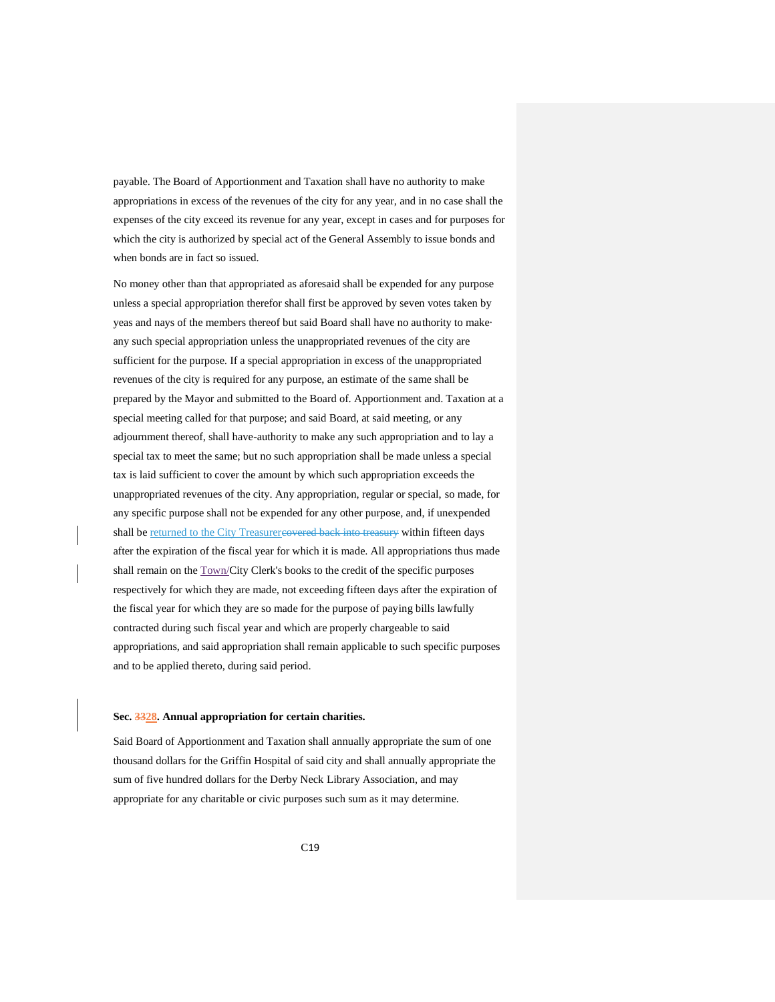payable. The Board of Apportionment and Taxation shall have no authority to make appropriations in excess of the revenues of the city for any year, and in no case shall the expenses of the city exceed its revenue for any year, except in cases and for purposes for which the city is authorized by special act of the General Assembly to issue bonds and when bonds are in fact so issued.

No money other than that appropriated as aforesaid shall be expended for any purpose unless a special appropriation therefor shall first be approved by seven votes taken by yeas and nays of the members thereof but said Board shall have no authority to make· any such special appropriation unless the unappropriated revenues of the city are sufficient for the purpose. If a special appropriation in excess of the unappropriated revenues of the city is required for any purpose, an estimate of the same shall be prepared by the Mayor and submitted to the Board of. Apportionment and. Taxation at a special meeting called for that purpose; and said Board, at said meeting, or any adjournment thereof, shall have-authority to make any such appropriation and to lay a special tax to meet the same; but no such appropriation shall be made unless a special tax is laid sufficient to cover the amount by which such appropriation exceeds the unappropriated revenues of the city. Any appropriation, regular or special, so made, for any specific purpose shall not be expended for any other purpose, and, if unexpended shall be returned to the City Treasurercovered back into treasury within fifteen days after the expiration of the fiscal year for which it is made. All appropriations thus made shall remain on the **Town/City Clerk's** books to the credit of the specific purposes respectively for which they are made, not exceeding fifteen days after the expiration of the fiscal year for which they are so made for the purpose of paying bills lawfully contracted during such fiscal year and which are properly chargeable to said appropriations, and said appropriation shall remain applicable to such specific purposes and to be applied thereto, during said period.

#### <span id="page-18-0"></span>**Sec. 3328. Annual appropriation for certain charities.**

Said Board of Apportionment and Taxation shall annually appropriate the sum of one thousand dollars for the Griffin Hospital of said city and shall annually appropriate the sum of five hundred dollars for the Derby Neck Library Association, and may appropriate for any charitable or civic purposes such sum as it may determine.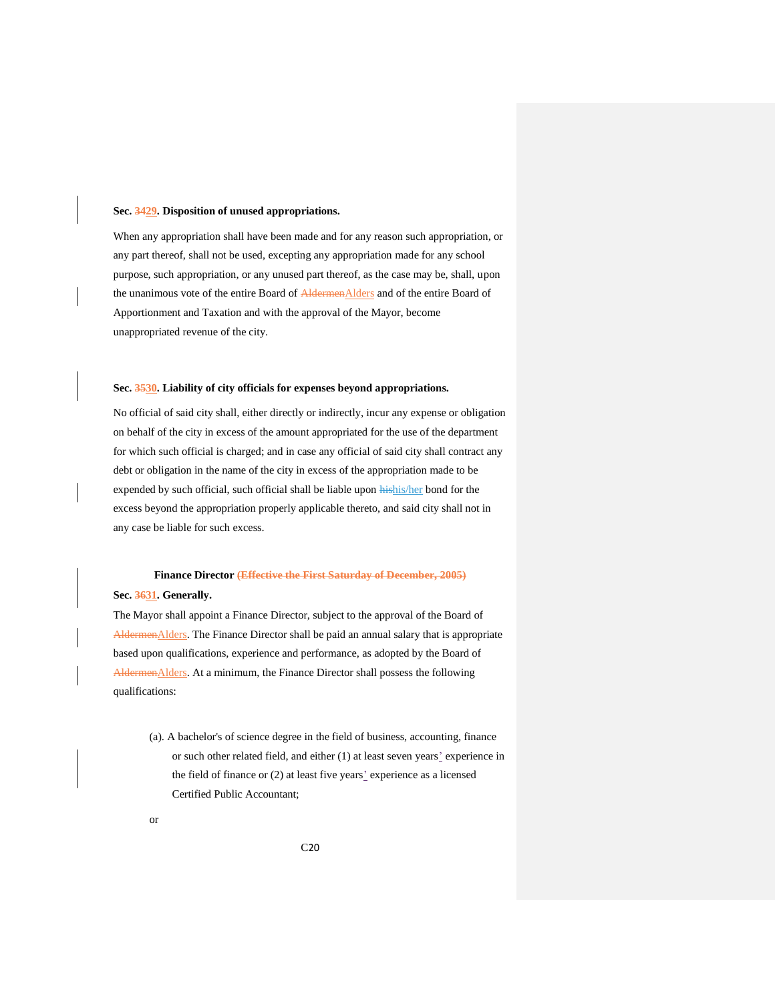## <span id="page-19-0"></span>**Sec. 3429. Disposition of unused appropriations.**

When any appropriation shall have been made and for any reason such appropriation, or any part thereof, shall not be used, excepting any appropriation made for any school purpose, such appropriation, or any unused part thereof, as the case may be, shall, upon the unanimous vote of the entire Board of AldermenAlders and of the entire Board of Apportionment and Taxation and with the approval of the Mayor, become unappropriated revenue of the city.

## <span id="page-19-1"></span>**Sec. 3530. Liability of city officials for expenses beyond appropriations.**

No official of said city shall, either directly or indirectly, incur any expense or obligation on behalf of the city in excess of the amount appropriated for the use of the department for which such official is charged; and in case any official of said city shall contract any debt or obligation in the name of the city in excess of the appropriation made to be expended by such official, such official shall be liable upon hishis/her bond for the excess beyond the appropriation properly applicable thereto, and said city shall not in any case be liable for such excess.

# **Finance Director (Effective the First Saturday of December, 2005)**

## <span id="page-19-3"></span><span id="page-19-2"></span>**Sec. 3631. Generally.**

The Mayor shall appoint a Finance Director, subject to the approval of the Board of AldermenAlders. The Finance Director shall be paid an annual salary that is appropriate based upon qualifications, experience and performance, as adopted by the Board of AldermenAlders. At a minimum, the Finance Director shall possess the following qualifications:

(a). A bachelor's of science degree in the field of business, accounting, finance or such other related field, and either (1) at least seven years' experience in the field of finance or (2) at least five years' experience as a licensed Certified Public Accountant;

or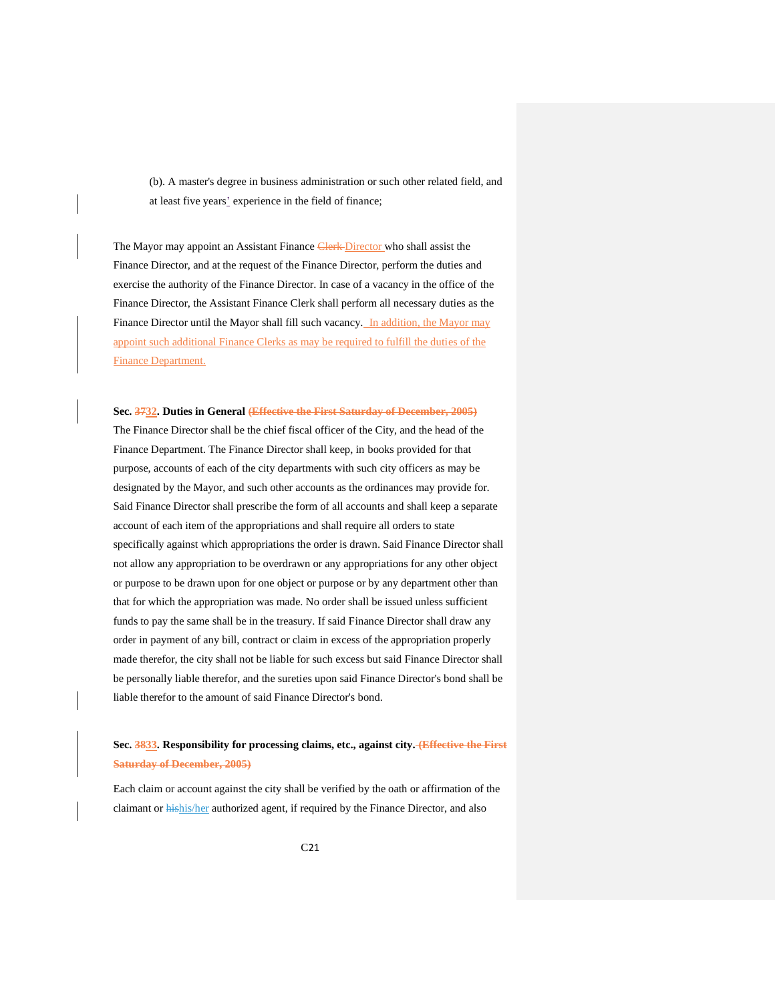(b). A master's degree in business administration or such other related field, and at least five years' experience in the field of finance;

The Mayor may appoint an Assistant Finance Clerk Director who shall assist the Finance Director, and at the request of the Finance Director, perform the duties and exercise the authority of the Finance Director. In case of a vacancy in the office of the Finance Director, the Assistant Finance Clerk shall perform all necessary duties as the Finance Director until the Mayor shall fill such vacancy. In addition, the Mayor may appoint such additional Finance Clerks as may be required to fulfill the duties of the Finance Department.

<span id="page-20-0"></span>**Sec. 3732. Duties in General (Effective the First Saturday of December, 2005)** The Finance Director shall be the chief fiscal officer of the City, and the head of the Finance Department. The Finance Director shall keep, in books provided for that purpose, accounts of each of the city departments with such city officers as may be designated by the Mayor, and such other accounts as the ordinances may provide for. Said Finance Director shall prescribe the form of all accounts and shall keep a separate account of each item of the appropriations and shall require all orders to state specifically against which appropriations the order is drawn. Said Finance Director shall not allow any appropriation to be overdrawn or any appropriations for any other object or purpose to be drawn upon for one object or purpose or by any department other than that for which the appropriation was made. No order shall be issued unless sufficient funds to pay the same shall be in the treasury. If said Finance Director shall draw any order in payment of any bill, contract or claim in excess of the appropriation properly made therefor, the city shall not be liable for such excess but said Finance Director shall be personally liable therefor, and the sureties upon said Finance Director's bond shall be liable therefor to the amount of said Finance Director's bond.

# <span id="page-20-1"></span>**Sec. 3833. Responsibility for processing claims, etc., against city. (Effective the First Saturday of December, 2005)**

Each claim or account against the city shall be verified by the oath or affirmation of the claimant or **hishis/her** authorized agent, if required by the Finance Director, and also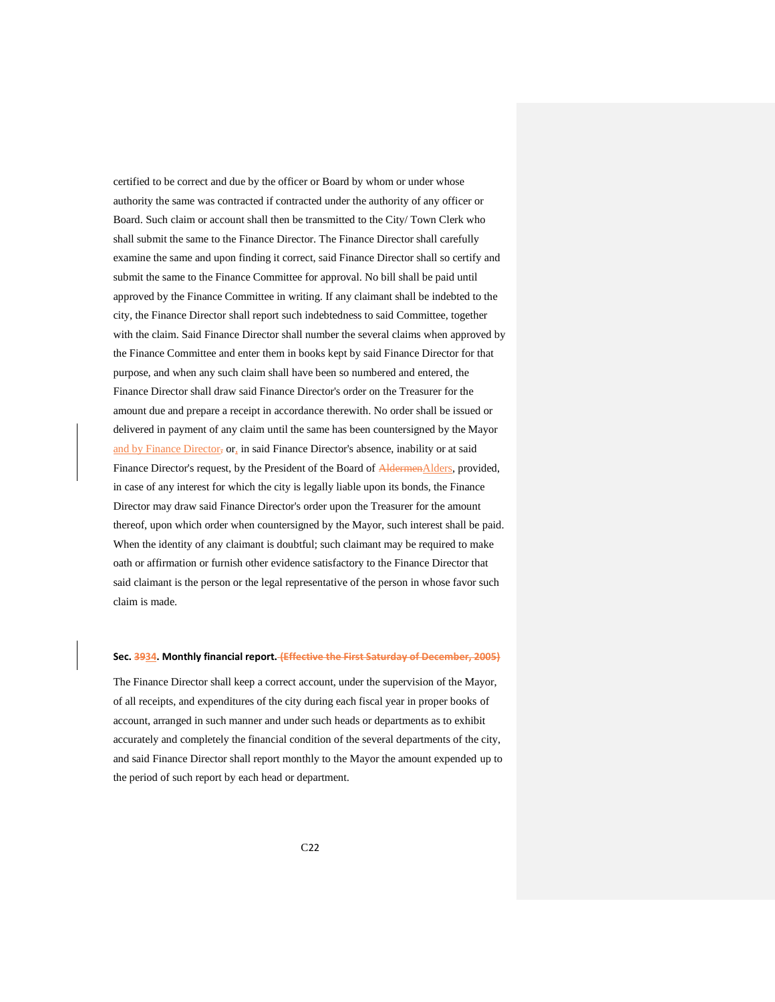certified to be correct and due by the officer or Board by whom or under whose authority the same was contracted if contracted under the authority of any officer or Board. Such claim or account shall then be transmitted to the City/ Town Clerk who shall submit the same to the Finance Director. The Finance Director shall carefully examine the same and upon finding it correct, said Finance Director shall so certify and submit the same to the Finance Committee for approval. No bill shall be paid until approved by the Finance Committee in writing. If any claimant shall be indebted to the city, the Finance Director shall report such indebtedness to said Committee, together with the claim. Said Finance Director shall number the several claims when approved by the Finance Committee and enter them in books kept by said Finance Director for that purpose, and when any such claim shall have been so numbered and entered, the Finance Director shall draw said Finance Director's order on the Treasurer for the amount due and prepare a receipt in accordance therewith. No order shall be issued or delivered in payment of any claim until the same has been countersigned by the Mayor and by Finance Director, or, in said Finance Director's absence, inability or at said Finance Director's request, by the President of the Board of AldermenAlders, provided, in case of any interest for which the city is legally liable upon its bonds, the Finance Director may draw said Finance Director's order upon the Treasurer for the amount thereof, upon which order when countersigned by the Mayor, such interest shall be paid. When the identity of any claimant is doubtful; such claimant may be required to make oath or affirmation or furnish other evidence satisfactory to the Finance Director that said claimant is the person or the legal representative of the person in whose favor such claim is made.

#### <span id="page-21-0"></span>**Sec. 3934. Monthly financial report. (Effective the First Saturday**

The Finance Director shall keep a correct account, under the supervision of the Mayor, of all receipts, and expenditures of the city during each fiscal year in proper books of account, arranged in such manner and under such heads or departments as to exhibit accurately and completely the financial condition of the several departments of the city, and said Finance Director shall report monthly to the Mayor the amount expended up to the period of such report by each head or department.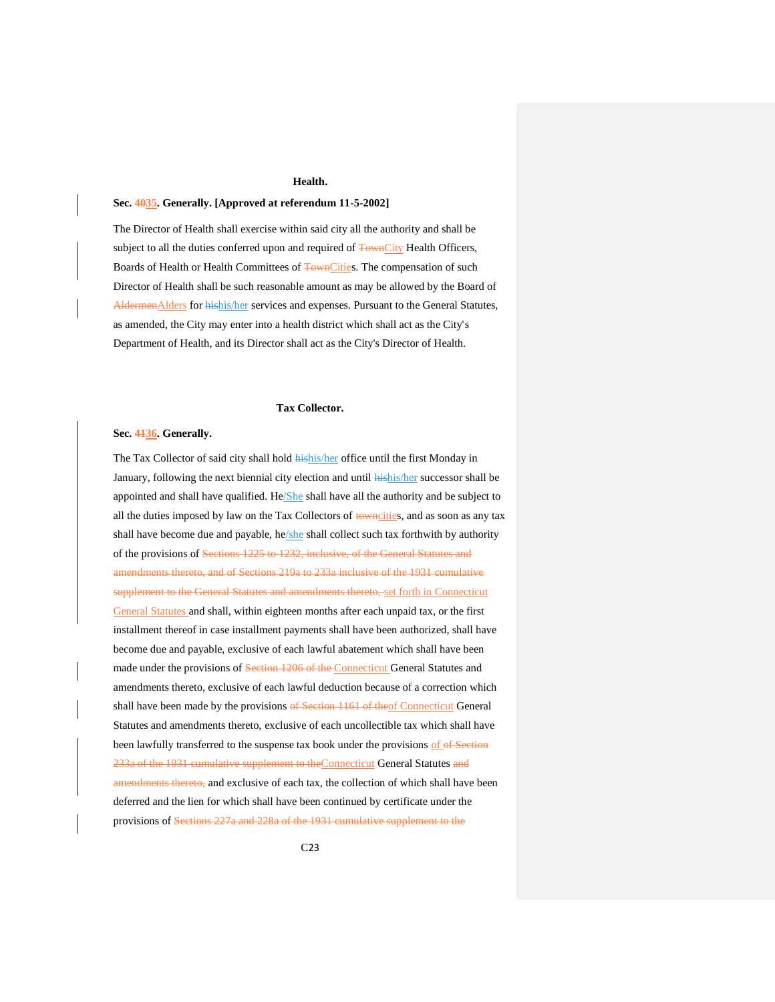## **Health.**

## <span id="page-22-1"></span><span id="page-22-0"></span>**Sec. 4035. Generally. [Approved at referendum 11-5-2002]**

The Director of Health shall exercise within said city all the authority and shall be subject to all the duties conferred upon and required of TownCity Health Officers, Boards of Health or Health Committees of TownCities. The compensation of such Director of Health shall be such reasonable amount as may be allowed by the Board of AldermenAlders for hishis/her services and expenses. Pursuant to the General Statutes, as amended, the City may enter into a health district which shall act as the City's Department of Health, and its Director shall act as the City's Director of Health.

#### **Tax Collector.**

#### <span id="page-22-3"></span><span id="page-22-2"></span>**Sec. 4136. Generally.**

The Tax Collector of said city shall hold **hishis/her** office until the first Monday in January, following the next biennial city election and until hishis/her successor shall be appointed and shall have qualified. He/She shall have all the authority and be subject to all the duties imposed by law on the Tax Collectors of towncities, and as soon as any tax shall have become due and payable, he/she shall collect such tax forthwith by authority of the provisions of Sections 1225 to 1232, inclusive, of the General Statutes and amendments thereto, and of Sections 219a to 233a inclusive of the 1931 cumulative supplement to the General Statutes and amendments thereto, set forth in Connecticut General Statutes and shall, within eighteen months after each unpaid tax, or the first installment thereof in case installment payments shall have been authorized, shall have become due and payable, exclusive of each lawful abatement which shall have been made under the provisions of Section 1206 of the Connecticut General Statutes and amendments thereto, exclusive of each lawful deduction because of a correction which shall have been made by the provisions of Section 1161 of theof Connecticut General Statutes and amendments thereto, exclusive of each uncollectible tax which shall have been lawfully transferred to the suspense tax book under the provisions of of Section 233a of the 1931 cumulative supplement to the Connecticut General Statutes and amendments thereto, and exclusive of each tax, the collection of which shall have been deferred and the lien for which shall have been continued by certificate under the provisions of Sections 227a and 228a of the 1931 cumulative supplement to the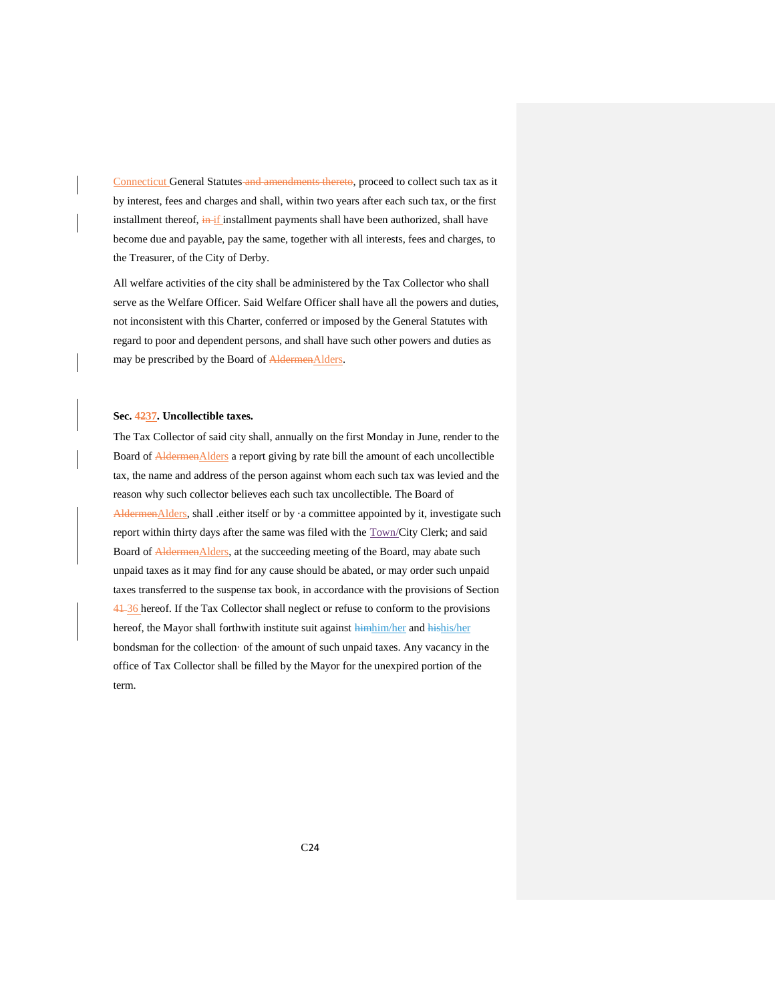Connecticut General Statutes and amendments thereto, proceed to collect such tax as it by interest, fees and charges and shall, within two years after each such tax, or the first installment thereof, in if installment payments shall have been authorized, shall have become due and payable, pay the same, together with all interests, fees and charges, to the Treasurer, of the City of Derby.

All welfare activities of the city shall be administered by the Tax Collector who shall serve as the Welfare Officer. Said Welfare Officer shall have all the powers and duties, not inconsistent with this Charter, conferred or imposed by the General Statutes with regard to poor and dependent persons, and shall have such other powers and duties as may be prescribed by the Board of AldermenAlders.

## <span id="page-23-0"></span>**Sec. 4237. Uncollectible taxes.**

The Tax Collector of said city shall, annually on the first Monday in June, render to the Board of **Aldermen**Alders a report giving by rate bill the amount of each uncollectible tax, the name and address of the person against whom each such tax was levied and the reason why such collector believes each such tax uncollectible. The Board of AldermenAlders, shall .either itself or by ·a committee appointed by it, investigate such report within thirty days after the same was filed with the Town/City Clerk; and said Board of AldermenAlders, at the succeeding meeting of the Board, may abate such unpaid taxes as it may find for any cause should be abated, or may order such unpaid taxes transferred to the suspense tax book, in accordance with the provisions of Section 41-36 hereof. If the Tax Collector shall neglect or refuse to conform to the provisions hereof, the Mayor shall forthwith institute suit against himhim/her and hishis/her bondsman for the collection· of the amount of such unpaid taxes. Any vacancy in the office of Tax Collector shall be filled by the Mayor for the unexpired portion of the term.

C24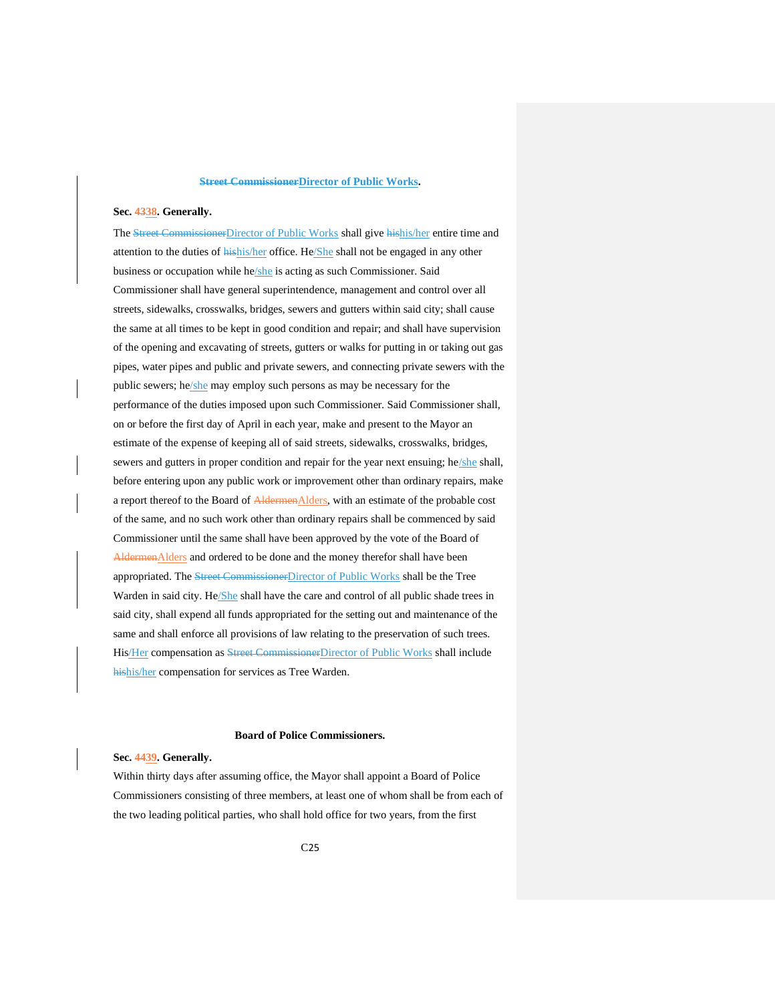# **Street CommissionerDirector of Public Works.**

#### <span id="page-24-1"></span><span id="page-24-0"></span>**Sec. 4338. Generally.**

The Street CommissionerDirector of Public Works shall give hishis/her entire time and attention to the duties of hishis/her office. He/She shall not be engaged in any other business or occupation while he/she is acting as such Commissioner. Said Commissioner shall have general superintendence, management and control over all streets, sidewalks, crosswalks, bridges, sewers and gutters within said city; shall cause the same at all times to be kept in good condition and repair; and shall have supervision of the opening and excavating of streets, gutters or walks for putting in or taking out gas pipes, water pipes and public and private sewers, and connecting private sewers with the public sewers; he/she may employ such persons as may be necessary for the performance of the duties imposed upon such Commissioner. Said Commissioner shall, on or before the first day of April in each year, make and present to the Mayor an estimate of the expense of keeping all of said streets, sidewalks, crosswalks, bridges, sewers and gutters in proper condition and repair for the year next ensuing; he/she shall, before entering upon any public work or improvement other than ordinary repairs, make a report thereof to the Board of AldermenAlders, with an estimate of the probable cost of the same, and no such work other than ordinary repairs shall be commenced by said Commissioner until the same shall have been approved by the vote of the Board of AldermenAlders and ordered to be done and the money therefor shall have been appropriated. The Street CommissionerDirector of Public Works shall be the Tree Warden in said city. He/She shall have the care and control of all public shade trees in said city, shall expend all funds appropriated for the setting out and maintenance of the same and shall enforce all provisions of law relating to the preservation of such trees. His/Her compensation as Street CommissionerDirector of Public Works shall include hishis/her compensation for services as Tree Warden.

#### **Board of Police Commissioners.**

## <span id="page-24-3"></span><span id="page-24-2"></span>**Sec. 4439. Generally.**

Within thirty days after assuming office, the Mayor shall appoint a Board of Police Commissioners consisting of three members, at least one of whom shall be from each of the two leading political parties, who shall hold office for two years, from the first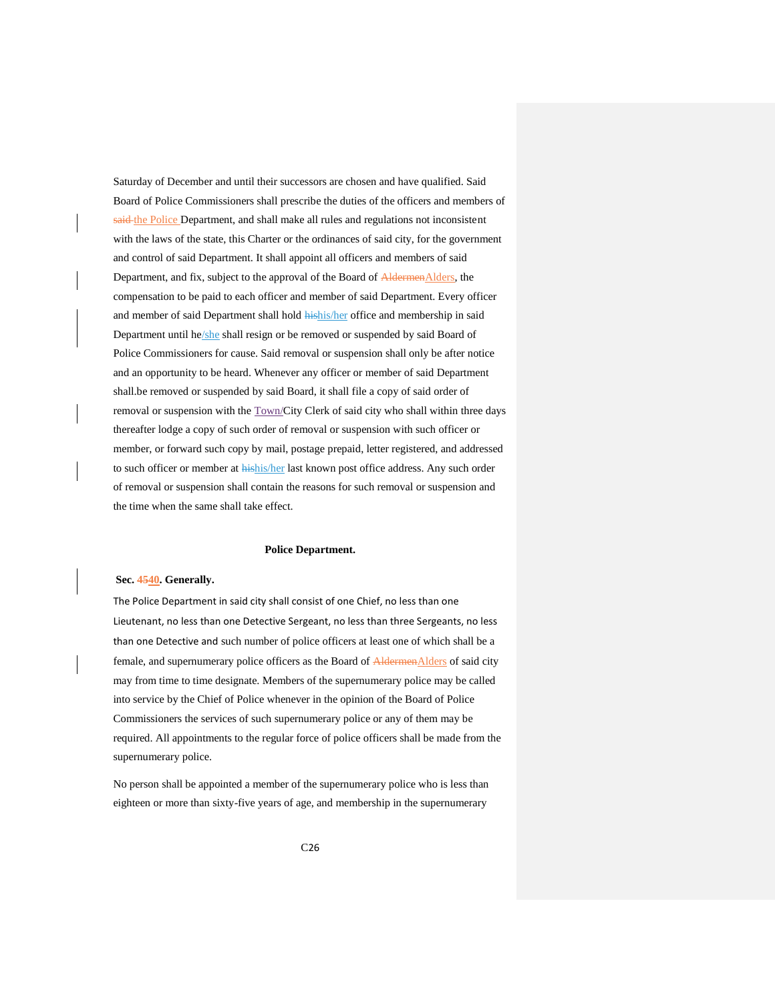Saturday of December and until their successors are chosen and have qualified. Said Board of Police Commissioners shall prescribe the duties of the officers and members of said the Police Department, and shall make all rules and regulations not inconsistent with the laws of the state, this Charter or the ordinances of said city, for the government and control of said Department. It shall appoint all officers and members of said Department, and fix, subject to the approval of the Board of AldermenAlders, the compensation to be paid to each officer and member of said Department. Every officer and member of said Department shall hold hishis/her office and membership in said Department until he/she shall resign or be removed or suspended by said Board of Police Commissioners for cause. Said removal or suspension shall only be after notice and an opportunity to be heard. Whenever any officer or member of said Department shall.be removed or suspended by said Board, it shall file a copy of said order of removal or suspension with the Town/City Clerk of said city who shall within three days thereafter lodge a copy of such order of removal or suspension with such officer or member, or forward such copy by mail, postage prepaid, letter registered, and addressed to such officer or member at hishis/her last known post office address. Any such order of removal or suspension shall contain the reasons for such removal or suspension and the time when the same shall take effect.

#### **Police Department.**

#### <span id="page-25-1"></span><span id="page-25-0"></span>**Sec. 4540. Generally.**

The Police Department in said city shall consist of one Chief, no less than one Lieutenant, no less than one Detective Sergeant, no less than three Sergeants, no less than one Detective and such number of police officers at least one of which shall be a female, and supernumerary police officers as the Board of AldermenAlders of said city may from time to time designate. Members of the supernumerary police may be called into service by the Chief of Police whenever in the opinion of the Board of Police Commissioners the services of such supernumerary police or any of them may be required. All appointments to the regular force of police officers shall be made from the supernumerary police.

No person shall be appointed a member of the supernumerary police who is less than eighteen or more than sixty-five years of age, and membership in the supernumerary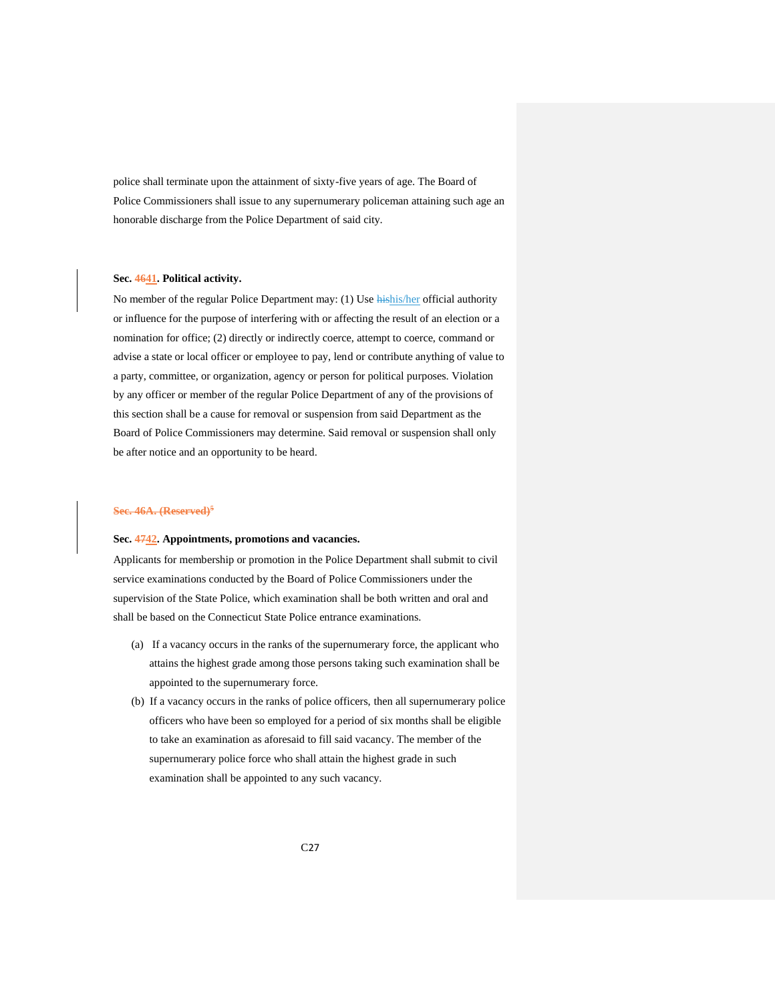police shall terminate upon the attainment of sixty-five years of age. The Board of Police Commissioners shall issue to any supernumerary policeman attaining such age an honorable discharge from the Police Department of said city.

## <span id="page-26-0"></span>**Sec. 4641. Political activity.**

No member of the regular Police Department may: (1) Use **hishis/her** official authority or influence for the purpose of interfering with or affecting the result of an election or a nomination for office; (2) directly or indirectly coerce, attempt to coerce, command or advise a state or local officer or employee to pay, lend or contribute anything of value to a party, committee, or organization, agency or person for political purposes. Violation by any officer or member of the regular Police Department of any of the provisions of this section shall be a cause for removal or suspension from said Department as the Board of Police Commissioners may determine. Said removal or suspension shall only be after notice and an opportunity to be heard.

#### <span id="page-26-1"></span>**Sec. 46A. (Reserved)<sup>5</sup>**

#### <span id="page-26-2"></span>**Sec. 4742. Appointments, promotions and vacancies.**

Applicants for membership or promotion in the Police Department shall submit to civil service examinations conducted by the Board of Police Commissioners under the supervision of the State Police, which examination shall be both written and oral and shall be based on the Connecticut State Police entrance examinations.

- (a) If a vacancy occurs in the ranks of the supernumerary force, the applicant who attains the highest grade among those persons taking such examination shall be appointed to the supernumerary force.
- (b) If a vacancy occurs in the ranks of police officers, then all supernumerary police officers who have been so employed for a period of six months shall be eligible to take an examination as aforesaid to fill said vacancy. The member of the supernumerary police force who shall attain the highest grade in such examination shall be appointed to any such vacancy.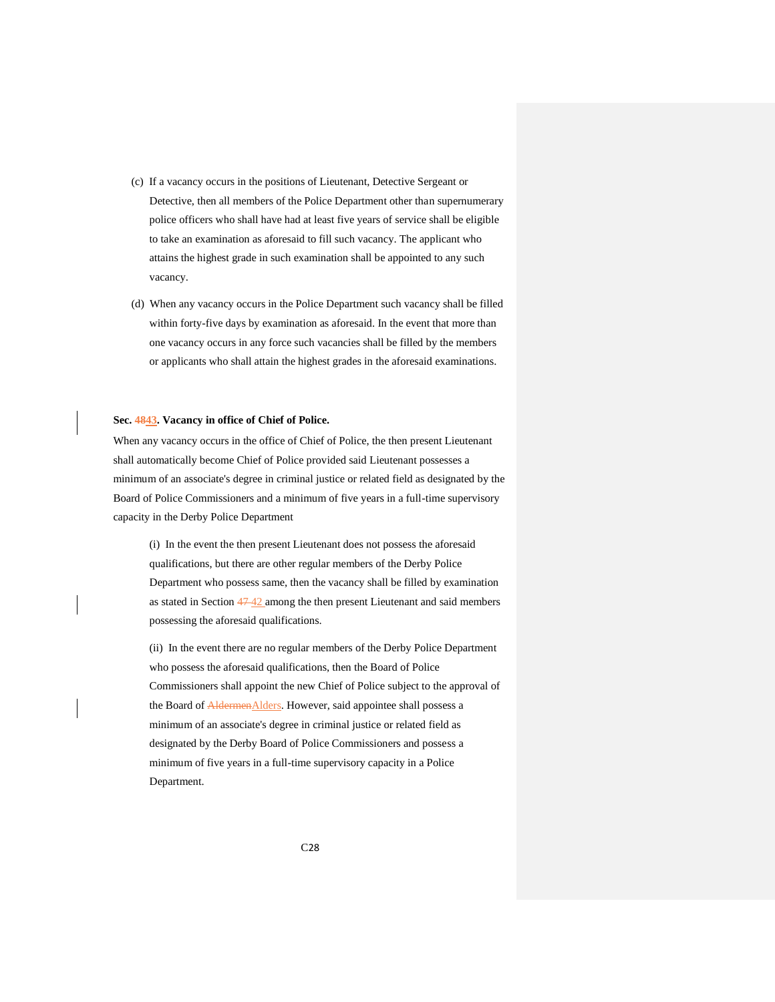- (c) If a vacancy occurs in the positions of Lieutenant, Detective Sergeant or Detective, then all members of the Police Department other than supernumerary police officers who shall have had at least five years of service shall be eligible to take an examination as aforesaid to fill such vacancy. The applicant who attains the highest grade in such examination shall be appointed to any such vacancy.
- (d) When any vacancy occurs in the Police Department such vacancy shall be filled within forty-five days by examination as aforesaid. In the event that more than one vacancy occurs in any force such vacancies shall be filled by the members or applicants who shall attain the highest grades in the aforesaid examinations.

#### <span id="page-27-0"></span>**Sec. 4843. Vacancy in office of Chief of Police.**

When any vacancy occurs in the office of Chief of Police, the then present Lieutenant shall automatically become Chief of Police provided said Lieutenant possesses a minimum of an associate's degree in criminal justice or related field as designated by the Board of Police Commissioners and a minimum of five years in a full-time supervisory capacity in the Derby Police Department

(i) In the event the then present Lieutenant does not possess the aforesaid qualifications, but there are other regular members of the Derby Police Department who possess same, then the vacancy shall be filled by examination as stated in Section 47 42 among the then present Lieutenant and said members possessing the aforesaid qualifications.

(ii) In the event there are no regular members of the Derby Police Department who possess the aforesaid qualifications, then the Board of Police Commissioners shall appoint the new Chief of Police subject to the approval of the Board of **AldermenAlders**. However, said appointee shall possess a minimum of an associate's degree in criminal justice or related field as designated by the Derby Board of Police Commissioners and possess a minimum of five years in a full-time supervisory capacity in a Police Department.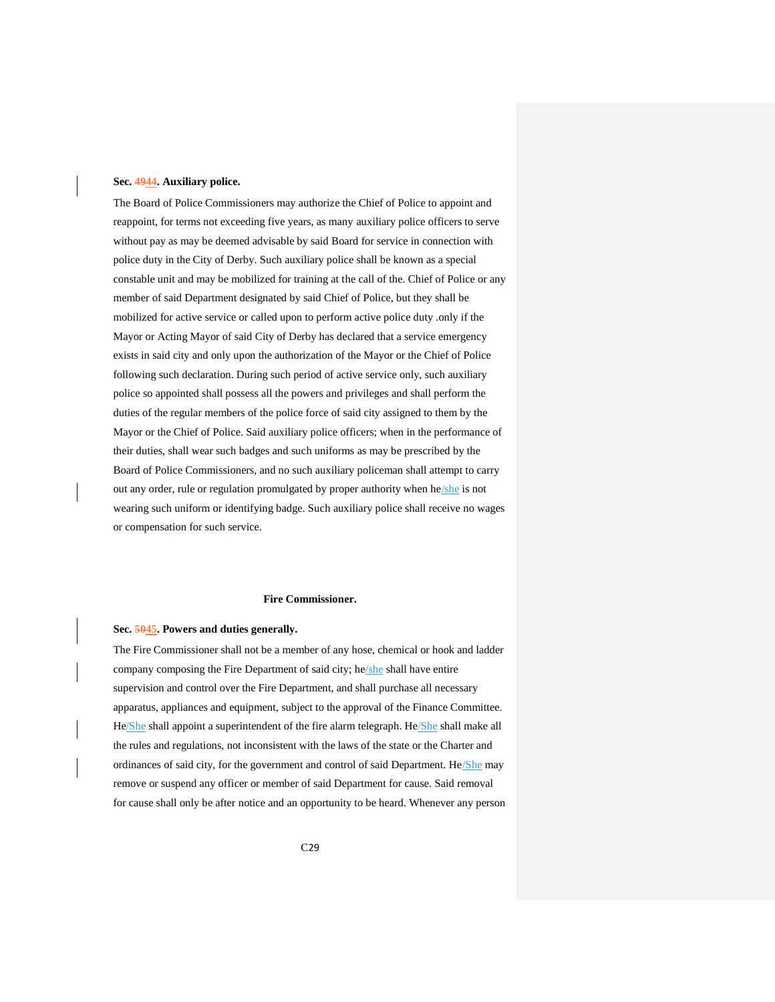#### <span id="page-28-0"></span>**Sec. 4944. Auxiliary police.**

The Board of Police Commissioners may authorize the Chief of Police to appoint and reappoint, for terms not exceeding five years, as many auxiliary police officers to serve without pay as may be deemed advisable by said Board for service in connection with police duty in the City of Derby. Such auxiliary police shall be known as a special constable unit and may be mobilized for training at the call of the. Chief of Police or any member of said Department designated by said Chief of Police, but they shall be mobilized for active service or called upon to perform active police duty .only if the Mayor or Acting Mayor of said City of Derby has declared that a service emergency exists in said city and only upon the authorization of the Mayor or the Chief of Police following such declaration. During such period of active service only, such auxiliary police so appointed shall possess all the powers and privileges and shall perform the duties of the regular members of the police force of said city assigned to them by the Mayor or the Chief of Police. Said auxiliary police officers; when in the performance of their duties, shall wear such badges and such uniforms as may be prescribed by the Board of Police Commissioners, and no such auxiliary policeman shall attempt to carry out any order, rule or regulation promulgated by proper authority when he/she is not wearing such uniform or identifying badge. Such auxiliary police shall receive no wages or compensation for such service.

## **Fire Commissioner.**

#### <span id="page-28-2"></span><span id="page-28-1"></span>**Sec. 5045. Powers and duties generally.**

The Fire Commissioner shall not be a member of any hose, chemical or hook and ladder company composing the Fire Department of said city; he/she shall have entire supervision and control over the Fire Department, and shall purchase all necessary apparatus, appliances and equipment, subject to the approval of the Finance Committee. He/She shall appoint a superintendent of the fire alarm telegraph. He/She shall make all the rules and regulations, not inconsistent with the laws of the state or the Charter and ordinances of said city, for the government and control of said Department. He/She may remove or suspend any officer or member of said Department for cause. Said removal for cause shall only be after notice and an opportunity to be heard. Whenever any person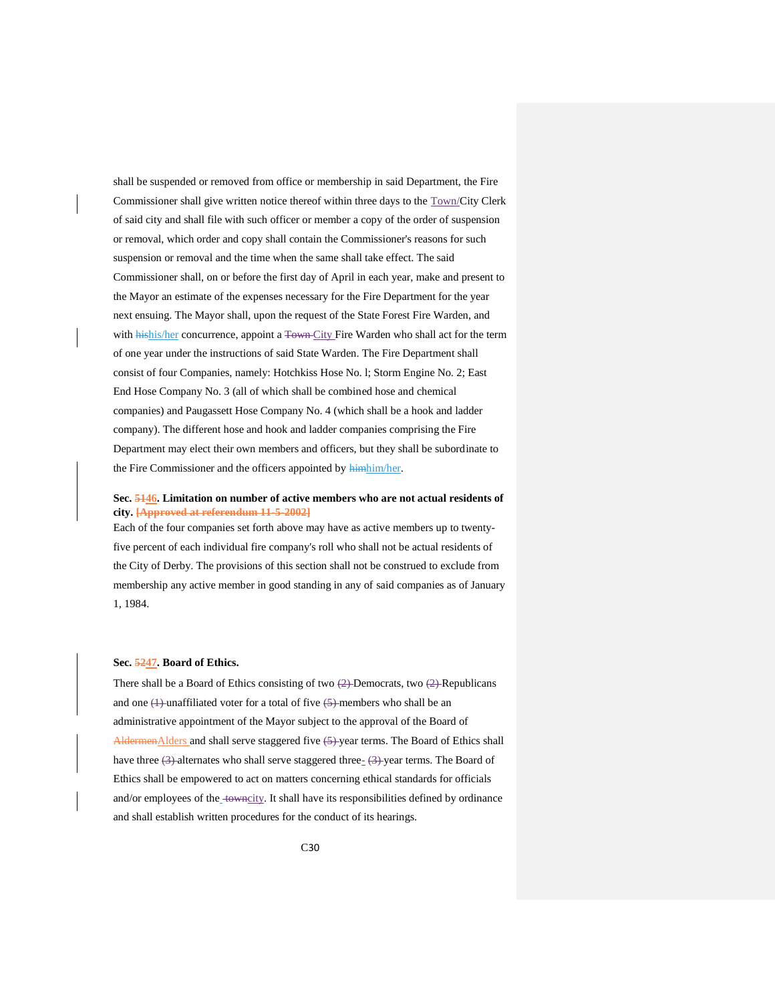shall be suspended or removed from office or membership in said Department, the Fire Commissioner shall give written notice thereof within three days to the Town/City Clerk of said city and shall file with such officer or member a copy of the order of suspension or removal, which order and copy shall contain the Commissioner's reasons for such suspension or removal and the time when the same shall take effect. The said Commissioner shall, on or before the first day of April in each year, make and present to the Mayor an estimate of the expenses necessary for the Fire Department for the year next ensuing. The Mayor shall, upon the request of the State Forest Fire Warden, and with hishis/her concurrence, appoint a Town City Fire Warden who shall act for the term of one year under the instructions of said State Warden. The Fire Department shall consist of four Companies, namely: Hotchkiss Hose No. l; Storm Engine No. 2; East End Hose Company No. 3 (all of which shall be combined hose and chemical companies) and Paugassett Hose Company No. 4 (which shall be a hook and ladder company). The different hose and hook and ladder companies comprising the Fire Department may elect their own members and officers, but they shall be subordinate to the Fire Commissioner and the officers appointed by himhim/her.

## <span id="page-29-0"></span>**Sec. 5146. Limitation on number of active members who are not actual residents of city. [Approved at referendum 11-5-2002]**

Each of the four companies set forth above may have as active members up to twentyfive percent of each individual fire company's roll who shall not be actual residents of the City of Derby. The provisions of this section shall not be construed to exclude from membership any active member in good standing in any of said companies as of January 1, 1984.

## <span id="page-29-1"></span>**Sec. 5247. Board of Ethics.**

There shall be a Board of Ethics consisting of two  $(2)$ -Democrats, two  $(2)$ -Republicans and one  $(1)$ -unaffiliated voter for a total of five  $(5)$ -members who shall be an administrative appointment of the Mayor subject to the approval of the Board of AldermenAlders and shall serve staggered five  $(5)$ -year terms. The Board of Ethics shall have three  $(3)$ -alternates who shall serve staggered three- $(3)$ -year terms. The Board of Ethics shall be empowered to act on matters concerning ethical standards for officials and/or employees of the\_towncity. It shall have its responsibilities defined by ordinance and shall establish written procedures for the conduct of its hearings.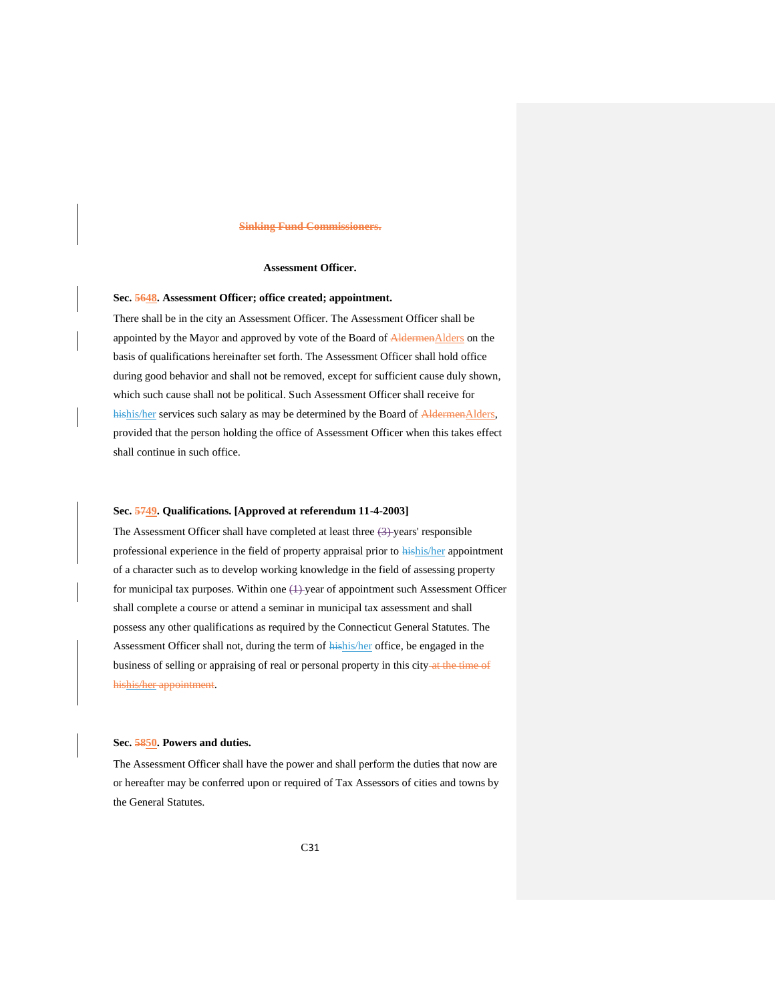#### **Sinking Fund Commissioners.**

## **Assessment Officer.**

## <span id="page-30-2"></span><span id="page-30-1"></span><span id="page-30-0"></span>**Sec. 5648. Assessment Officer; office created; appointment.**

There shall be in the city an Assessment Officer. The Assessment Officer shall be appointed by the Mayor and approved by vote of the Board of AldermenAlders on the basis of qualifications hereinafter set forth. The Assessment Officer shall hold office during good behavior and shall not be removed, except for sufficient cause duly shown, which such cause shall not be political. Such Assessment Officer shall receive for hishis/her services such salary as may be determined by the Board of AldermenAlders, provided that the person holding the office of Assessment Officer when this takes effect shall continue in such office.

#### <span id="page-30-3"></span>**Sec. 5749. Qualifications. [Approved at referendum 11-4-2003]**

The Assessment Officer shall have completed at least three  $(3)$ -years' responsible professional experience in the field of property appraisal prior to hishis/her appointment of a character such as to develop working knowledge in the field of assessing property for municipal tax purposes. Within one  $(1)$ -year of appointment such Assessment Officer shall complete a course or attend a seminar in municipal tax assessment and shall possess any other qualifications as required by the Connecticut General Statutes. The Assessment Officer shall not, during the term of **hishis/her** office, be engaged in the business of selling or appraising of real or personal property in this city-at the time of hishis/her appointment.

## <span id="page-30-4"></span>**Sec. 5850. Powers and duties.**

The Assessment Officer shall have the power and shall perform the duties that now are or hereafter may be conferred upon or required of Tax Assessors of cities and towns by the General Statutes.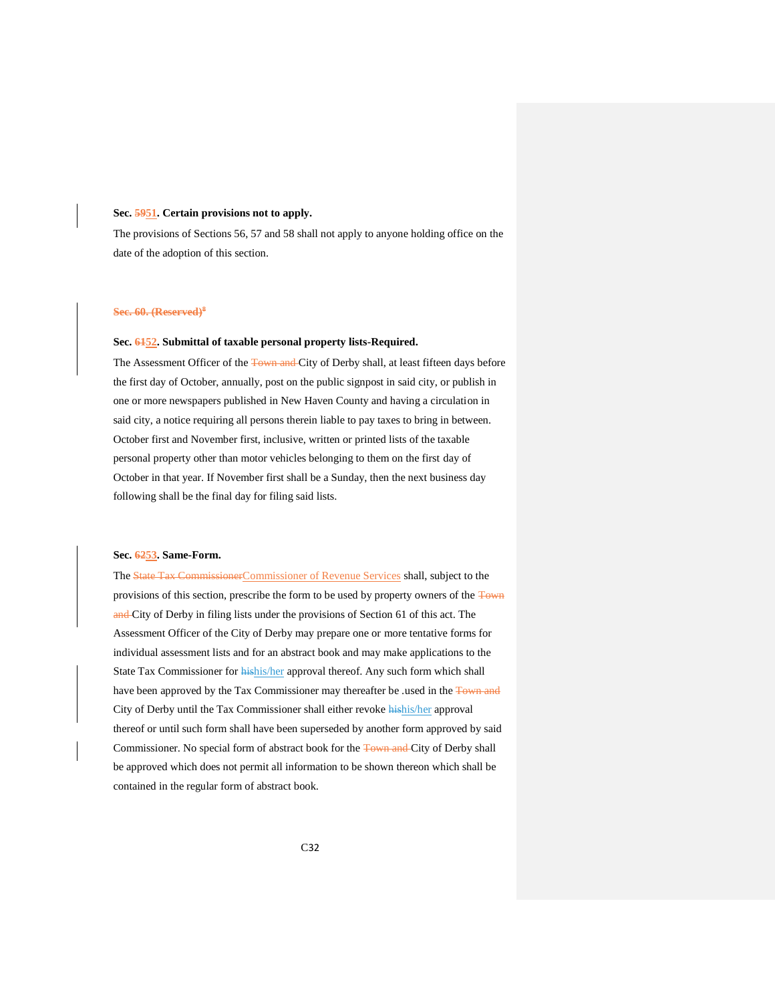#### <span id="page-31-0"></span>**Sec. 5951. Certain provisions not to apply.**

The provisions of Sections 56, 57 and 58 shall not apply to anyone holding office on the date of the adoption of this section.

#### <span id="page-31-1"></span>**Sec. 60. (Reserved)<sup>8</sup>**

## <span id="page-31-2"></span>**Sec. 6152. Submittal of taxable personal property lists-Required.**

The Assessment Officer of the Town and City of Derby shall, at least fifteen days before the first day of October, annually, post on the public signpost in said city, or publish in one or more newspapers published in New Haven County and having a circulation in said city, a notice requiring all persons therein liable to pay taxes to bring in between. October first and November first, inclusive, written or printed lists of the taxable personal property other than motor vehicles belonging to them on the first day of October in that year. If November first shall be a Sunday, then the next business day following shall be the final day for filing said lists.

## <span id="page-31-3"></span>**Sec. 6253. Same-Form.**

The State Tax CommissionerCommissioner of Revenue Services shall, subject to the provisions of this section, prescribe the form to be used by property owners of the Town and City of Derby in filing lists under the provisions of Section 61 of this act. The Assessment Officer of the City of Derby may prepare one or more tentative forms for individual assessment lists and for an abstract book and may make applications to the State Tax Commissioner for hishis/her approval thereof. Any such form which shall have been approved by the Tax Commissioner may thereafter be .used in the Town and City of Derby until the Tax Commissioner shall either revoke hishis/her approval thereof or until such form shall have been superseded by another form approved by said Commissioner. No special form of abstract book for the Town and City of Derby shall be approved which does not permit all information to be shown thereon which shall be contained in the regular form of abstract book.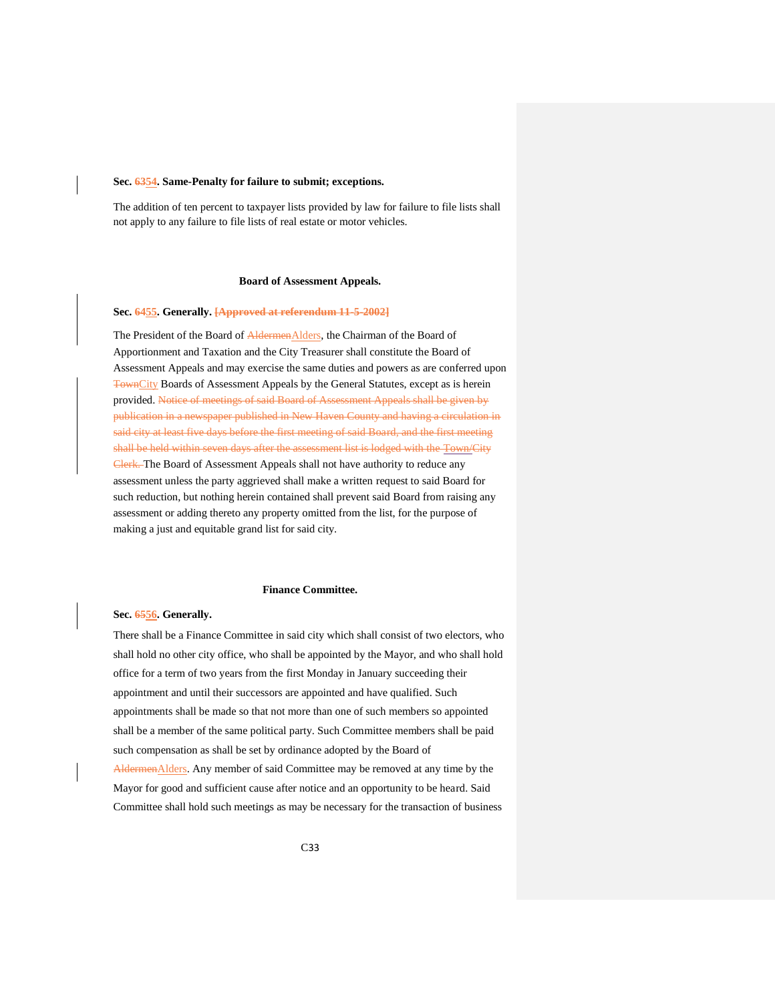#### <span id="page-32-0"></span>**Sec. 6354. Same-Penalty for failure to submit; exceptions.**

The addition of ten percent to taxpayer lists provided by law for failure to file lists shall not apply to any failure to file lists of real estate or motor vehicles.

#### **Board of Assessment Appeals.**

## <span id="page-32-2"></span><span id="page-32-1"></span>**Sec. 6455. Generally. [Approved at referendum 11-5-2002]**

The President of the Board of AldermenAlders, the Chairman of the Board of Apportionment and Taxation and the City Treasurer shall constitute the Board of Assessment Appeals and may exercise the same duties and powers as are conferred upon TownCity Boards of Assessment Appeals by the General Statutes, except as is herein provided. Notice of meetings of said Board of Assessment Appeals shall be given by publication in a newspaper published in New Haven County and having a circulation in said city at least five days before the first meeting of said Board, and the first meeting shall be held within seven days after the assessment list is lodged with the Town/City Clerk. The Board of Assessment Appeals shall not have authority to reduce any assessment unless the party aggrieved shall make a written request to said Board for such reduction, but nothing herein contained shall prevent said Board from raising any assessment or adding thereto any property omitted from the list, for the purpose of making a just and equitable grand list for said city.

## **Finance Committee.**

## <span id="page-32-4"></span><span id="page-32-3"></span>**Sec. 6556. Generally.**

There shall be a Finance Committee in said city which shall consist of two electors, who shall hold no other city office, who shall be appointed by the Mayor, and who shall hold office for a term of two years from the first Monday in January succeeding their appointment and until their successors are appointed and have qualified. Such appointments shall be made so that not more than one of such members so appointed shall be a member of the same political party. Such Committee members shall be paid such compensation as shall be set by ordinance adopted by the Board of AldermenAlders. Any member of said Committee may be removed at any time by the Mayor for good and sufficient cause after notice and an opportunity to be heard. Said Committee shall hold such meetings as may be necessary for the transaction of business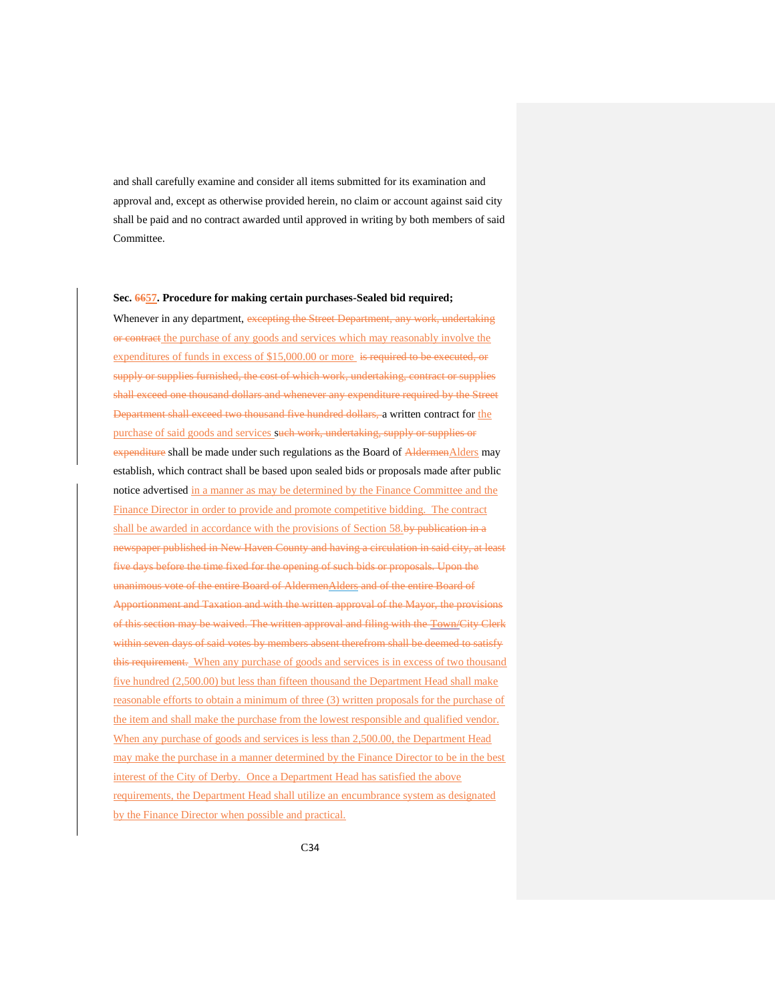and shall carefully examine and consider all items submitted for its examination and approval and, except as otherwise provided herein, no claim or account against said city shall be paid and no contract awarded until approved in writing by both members of said Committee.

## <span id="page-33-0"></span>**Sec. 6657. Procedure for making certain purchases-Sealed bid required;**

Whenever in any department, excepting the Street Department, any work, undertaking or contract the purchase of any goods and services which may reasonably involve the expenditures of funds in excess of \$15,000.00 or more is required to be executed, or supply or supplies furnished, the cost of which work, undertaking, contract or supplies shall exceed one thousand dollars and whenever any expenditure required by the Street Department shall exceed two thousand five hundred dollars, a written contract for the purchase of said goods and services such work, undertaking, supply or supplies or expenditure shall be made under such regulations as the Board of AldermenAlders may establish, which contract shall be based upon sealed bids or proposals made after public notice advertised in a manner as may be determined by the Finance Committee and the Finance Director in order to provide and promote competitive bidding. The contract shall be awarded in accordance with the provisions of Section 58.by publication in a newspaper published in New Haven County and having a circulation in said city, at least five days before the time fixed for the opening of such bids or proposals. Upon the unanimous vote of the entire Board of AldermenAlders and of the entire Board of Apportionment and Taxation and with the written approval of the Mayor, the provisions of this section may be waived. The written approval and filing with the Town/City Clerk within seven days of said votes by members absent therefrom shall be deemed to satisfy this requirement. When any purchase of goods and services is in excess of two thousand five hundred (2,500.00) but less than fifteen thousand the Department Head shall make reasonable efforts to obtain a minimum of three (3) written proposals for the purchase of the item and shall make the purchase from the lowest responsible and qualified vendor. When any purchase of goods and services is less than 2,500.00, the Department Head may make the purchase in a manner determined by the Finance Director to be in the best interest of the City of Derby. Once a Department Head has satisfied the above requirements, the Department Head shall utilize an encumbrance system as designated by the Finance Director when possible and practical.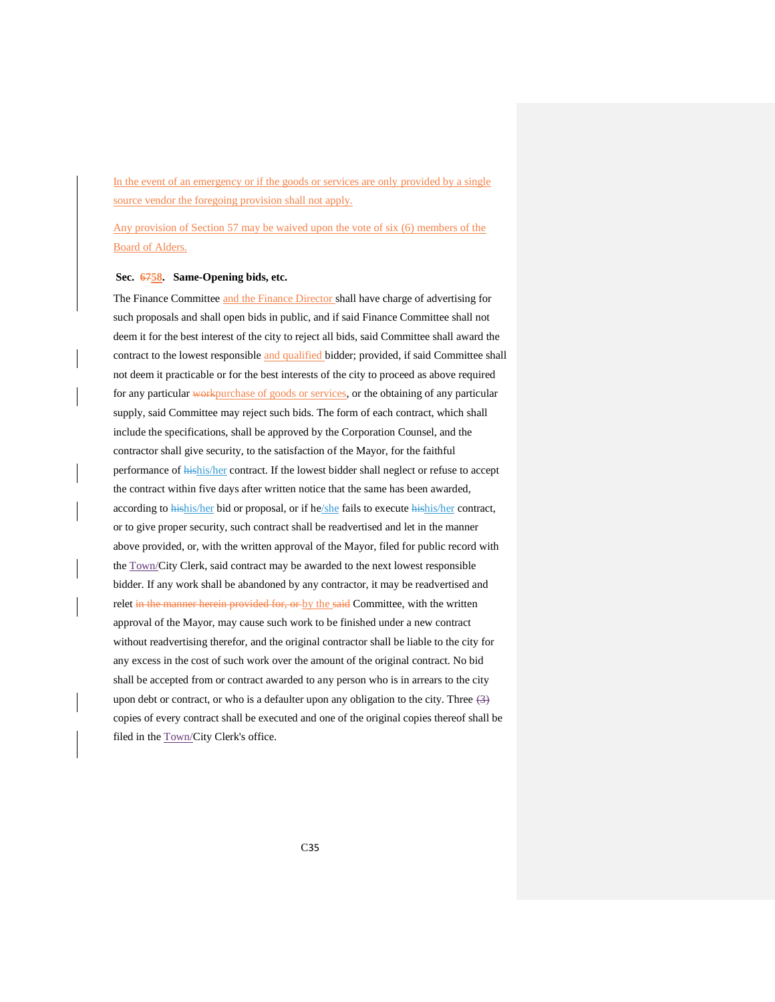In the event of an emergency or if the goods or services are only provided by a single source vendor the foregoing provision shall not apply.

Any provision of Section 57 may be waived upon the vote of six (6) members of the Board of Alders.

## <span id="page-34-0"></span>**Sec. 6758. Same-Opening bids, etc.**

The Finance Committee and the Finance Director shall have charge of advertising for such proposals and shall open bids in public, and if said Finance Committee shall not deem it for the best interest of the city to reject all bids, said Committee shall award the contract to the lowest responsible and qualified bidder; provided, if said Committee shall not deem it practicable or for the best interests of the city to proceed as above required for any particular workpurchase of goods or services, or the obtaining of any particular supply, said Committee may reject such bids. The form of each contract, which shall include the specifications, shall be approved by the Corporation Counsel, and the contractor shall give security, to the satisfaction of the Mayor, for the faithful performance of hishis/her contract. If the lowest bidder shall neglect or refuse to accept the contract within five days after written notice that the same has been awarded, according to hishis/her bid or proposal, or if he/she fails to execute hishis/her contract, or to give proper security, such contract shall be readvertised and let in the manner above provided, or, with the written approval of the Mayor, filed for public record with the Town/City Clerk, said contract may be awarded to the next lowest responsible bidder. If any work shall be abandoned by any contractor, it may be readvertised and relet in the manner herein provided for, or by the said Committee, with the written approval of the Mayor, may cause such work to be finished under a new contract without readvertising therefor, and the original contractor shall be liable to the city for any excess in the cost of such work over the amount of the original contract. No bid shall be accepted from or contract awarded to any person who is in arrears to the city upon debt or contract, or who is a defaulter upon any obligation to the city. Three  $(3)$ copies of every contract shall be executed and one of the original copies thereof shall be filed in the **Town/City Clerk's** office.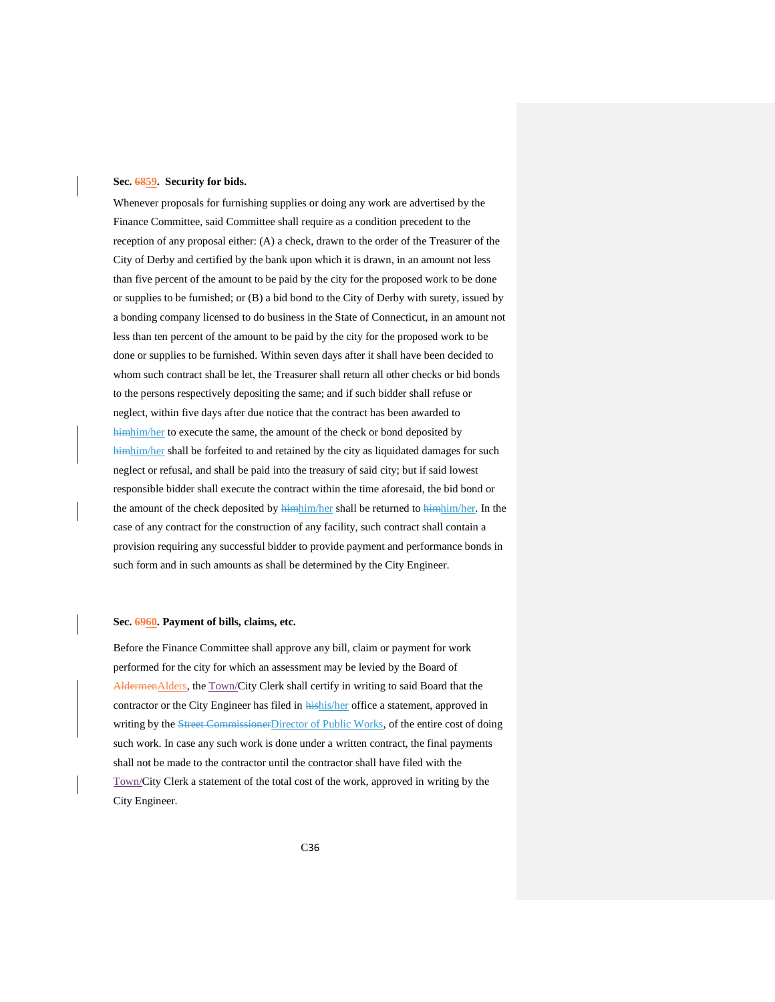#### <span id="page-35-0"></span>**Sec. 6859. Security for bids.**

Whenever proposals for furnishing supplies or doing any work are advertised by the Finance Committee, said Committee shall require as a condition precedent to the reception of any proposal either: (A) a check, drawn to the order of the Treasurer of the City of Derby and certified by the bank upon which it is drawn, in an amount not less than five percent of the amount to be paid by the city for the proposed work to be done or supplies to be furnished; or (B) a bid bond to the City of Derby with surety, issued by a bonding company licensed to do business in the State of Connecticut, in an amount not less than ten percent of the amount to be paid by the city for the proposed work to be done or supplies to be furnished. Within seven days after it shall have been decided to whom such contract shall be let, the Treasurer shall return all other checks or bid bonds to the persons respectively depositing the same; and if such bidder shall refuse or neglect, within five days after due notice that the contract has been awarded to himhim/her to execute the same, the amount of the check or bond deposited by himhim/her shall be forfeited to and retained by the city as liquidated damages for such neglect or refusal, and shall be paid into the treasury of said city; but if said lowest responsible bidder shall execute the contract within the time aforesaid, the bid bond or the amount of the check deposited by **himhim/her** shall be returned to **himhim/her**. In the case of any contract for the construction of any facility, such contract shall contain a provision requiring any successful bidder to provide payment and performance bonds in such form and in such amounts as shall be determined by the City Engineer.

#### <span id="page-35-1"></span>**Sec. 6960. Payment of bills, claims, etc.**

Before the Finance Committee shall approve any bill, claim or payment for work performed for the city for which an assessment may be levied by the Board of AldermenAlders, the Town/City Clerk shall certify in writing to said Board that the contractor or the City Engineer has filed in **hishis/her** office a statement, approved in writing by the **Street Commissioner** Director of Public Works, of the entire cost of doing such work. In case any such work is done under a written contract, the final payments shall not be made to the contractor until the contractor shall have filed with the Town/City Clerk a statement of the total cost of the work, approved in writing by the City Engineer.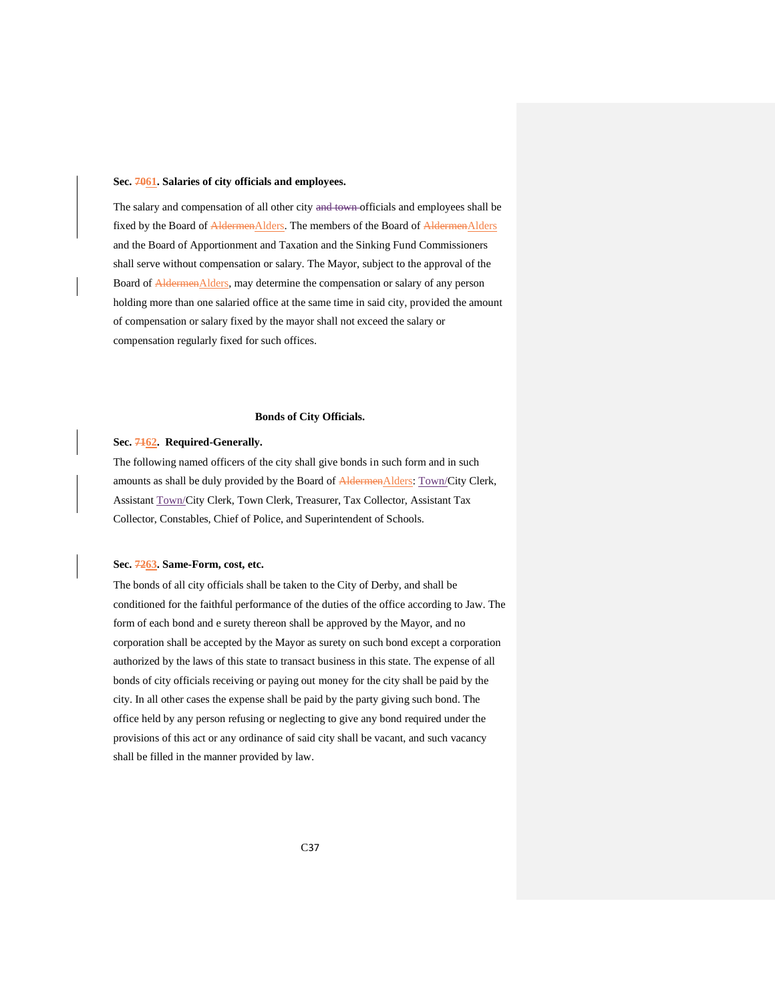#### <span id="page-36-0"></span>**Sec. 7061. Salaries of city officials and employees.**

The salary and compensation of all other city and town officials and employees shall be fixed by the Board of AldermenAlders. The members of the Board of AldermenAlders and the Board of Apportionment and Taxation and the Sinking Fund Commissioners shall serve without compensation or salary. The Mayor, subject to the approval of the Board of AldermenAlders, may determine the compensation or salary of any person holding more than one salaried office at the same time in said city, provided the amount of compensation or salary fixed by the mayor shall not exceed the salary or compensation regularly fixed for such offices.

## **Bonds of City Officials.**

## <span id="page-36-2"></span><span id="page-36-1"></span>**Sec. 7162. Required-Generally.**

The following named officers of the city shall give bonds in such form and in such amounts as shall be duly provided by the Board of AldermenAlders: Town/City Clerk, Assistant Town/City Clerk, Town Clerk, Treasurer, Tax Collector, Assistant Tax Collector, Constables, Chief of Police, and Superintendent of Schools.

## <span id="page-36-3"></span>**Sec. 7263. Same-Form, cost, etc.**

The bonds of all city officials shall be taken to the City of Derby, and shall be conditioned for the faithful performance of the duties of the office according to Jaw. The form of each bond and e surety thereon shall be approved by the Mayor, and no corporation shall be accepted by the Mayor as surety on such bond except a corporation authorized by the laws of this state to transact business in this state. The expense of all bonds of city officials receiving or paying out money for the city shall be paid by the city. In all other cases the expense shall be paid by the party giving such bond. The office held by any person refusing or neglecting to give any bond required under the provisions of this act or any ordinance of said city shall be vacant, and such vacancy shall be filled in the manner provided by law.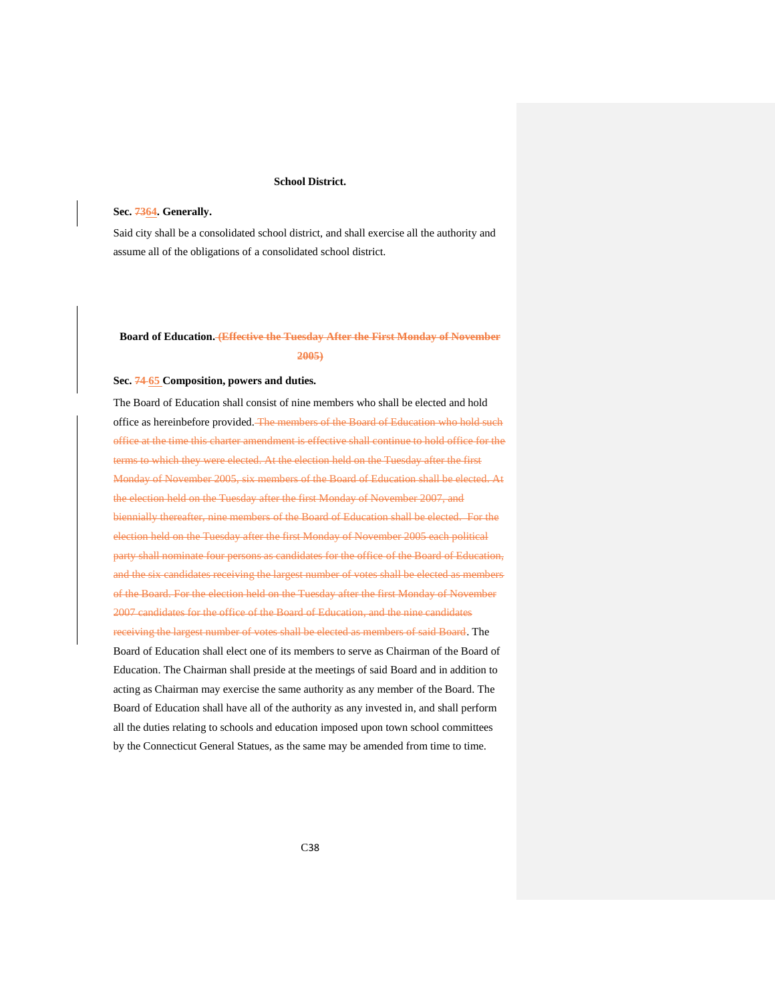## **School District.**

## <span id="page-37-1"></span><span id="page-37-0"></span>**Sec. 7364. Generally.**

Said city shall be a consolidated school district, and shall exercise all the authority and assume all of the obligations of a consolidated school district.

# <span id="page-37-2"></span>**Board of Education. (Effective the Tuesday After the First Monday of November 2005)**

#### <span id="page-37-3"></span>**Sec. 74 65 Composition, powers and duties.**

The Board of Education shall consist of nine members who shall be elected and hold office as hereinbefore provided. The members of the Board of Education who hold such office at the time this charter amendment is effective shall continue to hold office for the terms to which they were elected. At the election held on the Tuesday after the first Monday of November 2005, six members of the Board of Education shall be elected. At the election held on the Tuesday after the first Monday of November 2007, and biennially thereafter, nine members of the Board of Education shall be elected. For the election held on the Tuesday after the first Monday of November 2005 each political party shall nominate four persons as candidates for the office of the Board of Education, and the six candidates receiving the largest number of votes shall be elected as members of the Board. For the election held on the Tuesday after the first Monday of November 2007 candidates for the office of the Board of Education, and the nine candidates receiving the largest number of votes shall be elected as members of said Board. The Board of Education shall elect one of its members to serve as Chairman of the Board of Education. The Chairman shall preside at the meetings of said Board and in addition to acting as Chairman may exercise the same authority as any member of the Board. The Board of Education shall have all of the authority as any invested in, and shall perform all the duties relating to schools and education imposed upon town school committees by the Connecticut General Statues, as the same may be amended from time to time.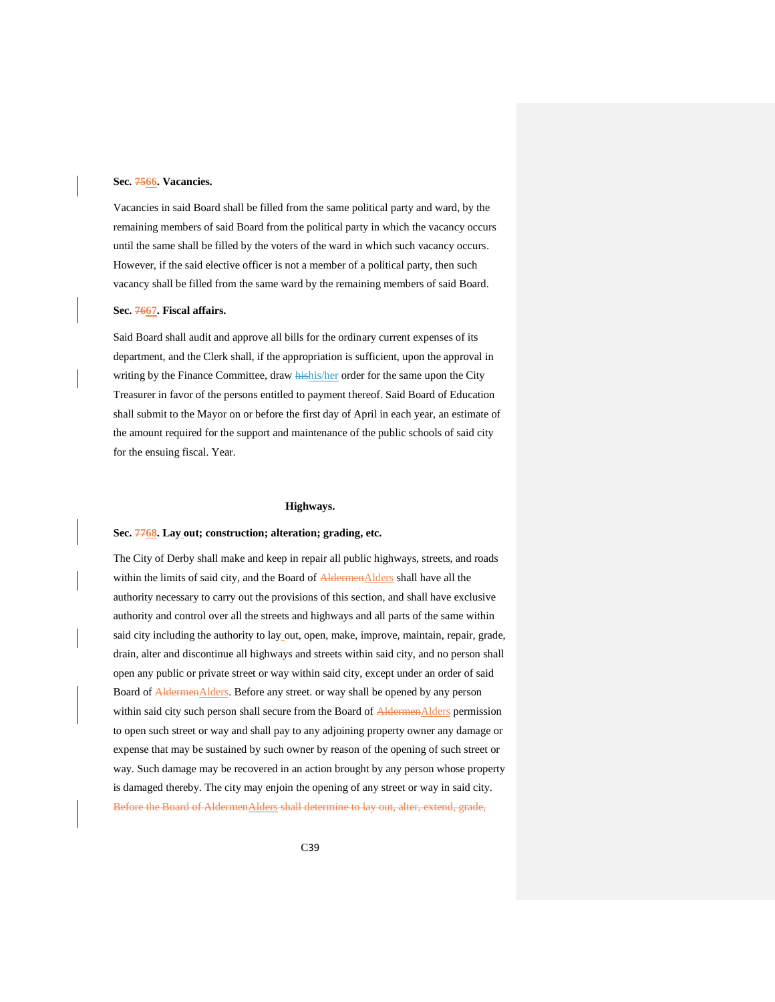## <span id="page-38-0"></span>**Sec. 7566. Vacancies.**

Vacancies in said Board shall be filled from the same political party and ward, by the remaining members of said Board from the political party in which the vacancy occurs until the same shall be filled by the voters of the ward in which such vacancy occurs. However, if the said elective officer is not a member of a political party, then such vacancy shall be filled from the same ward by the remaining members of said Board.

#### <span id="page-38-1"></span>**Sec. 7667. Fiscal affairs.**

Said Board shall audit and approve all bills for the ordinary current expenses of its department, and the Clerk shall, if the appropriation is sufficient, upon the approval in writing by the Finance Committee, draw **hishis/her** order for the same upon the City Treasurer in favor of the persons entitled to payment thereof. Said Board of Education shall submit to the Mayor on or before the first day of April in each year, an estimate of the amount required for the support and maintenance of the public schools of said city for the ensuing fiscal. Year.

#### **Highways.**

#### <span id="page-38-3"></span><span id="page-38-2"></span>**Sec. 7768. Lay out; construction; alteration; grading, etc.**

The City of Derby shall make and keep in repair all public highways, streets, and roads within the limits of said city, and the Board of AldermenAlders shall have all the authority necessary to carry out the provisions of this section, and shall have exclusive authority and control over all the streets and highways and all parts of the same within said city including the authority to lay out, open, make, improve, maintain, repair, grade, drain, alter and discontinue all highways and streets within said city, and no person shall open any public or private street or way within said city, except under an order of said Board of AldermenAlders. Before any street, or way shall be opened by any person within said city such person shall secure from the Board of AldermenAlders permission to open such street or way and shall pay to any adjoining property owner any damage or expense that may be sustained by such owner by reason of the opening of such street or way. Such damage may be recovered in an action brought by any person whose property is damaged thereby. The city may enjoin the opening of any street or way in said city. Before the Board of AldermenAlders shall determine to lay out, alter, extend, grade,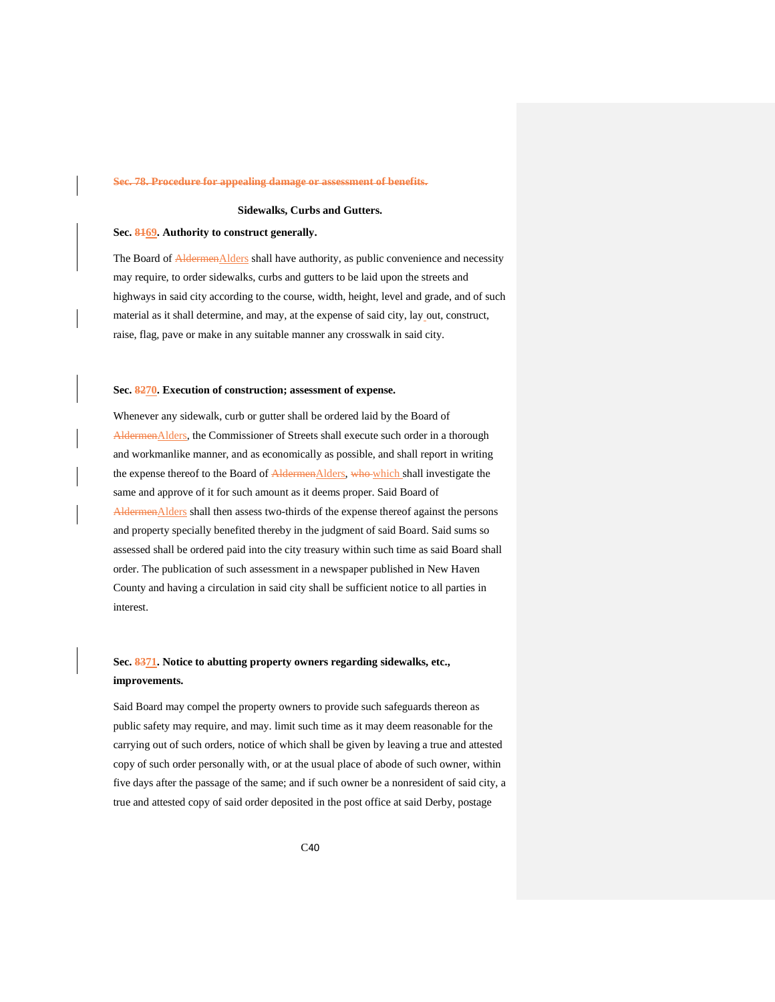#### **Sec. 78. Procedure for appealing damage or assessment of benefits.**

## **Sidewalks, Curbs and Gutters.**

#### <span id="page-39-1"></span><span id="page-39-0"></span>**Sec. 8169. Authority to construct generally.**

<span id="page-39-2"></span>The Board of **AldermenAlders** shall have authority, as public convenience and necessity may require, to order sidewalks, curbs and gutters to be laid upon the streets and highways in said city according to the course, width, height, level and grade, and of such material as it shall determine, and may, at the expense of said city, lay out, construct, raise, flag, pave or make in any suitable manner any crosswalk in said city.

#### **Sec. 8270. Execution of construction; assessment of expense.**

<span id="page-39-3"></span>Whenever any sidewalk, curb or gutter shall be ordered laid by the Board of AldermenAlders, the Commissioner of Streets shall execute such order in a thorough and workmanlike manner, and as economically as possible, and shall report in writing the expense thereof to the Board of AldermenAlders, who which shall investigate the same and approve of it for such amount as it deems proper. Said Board of AldermenAlders shall then assess two-thirds of the expense thereof against the persons and property specially benefited thereby in the judgment of said Board. Said sums so assessed shall be ordered paid into the city treasury within such time as said Board shall order. The publication of such assessment in a newspaper published in New Haven County and having a circulation in said city shall be sufficient notice to all parties in interest.

# **Sec. 8371. Notice to abutting property owners regarding sidewalks, etc., improvements.**

<span id="page-39-4"></span>Said Board may compel the property owners to provide such safeguards thereon as public safety may require, and may. limit such time as it may deem reasonable for the carrying out of such orders, notice of which shall be given by leaving a true and attested copy of such order personally with, or at the usual place of abode of such owner, within five days after the passage of the same; and if such owner be a nonresident of said city, a true and attested copy of said order deposited in the post office at said Derby, postage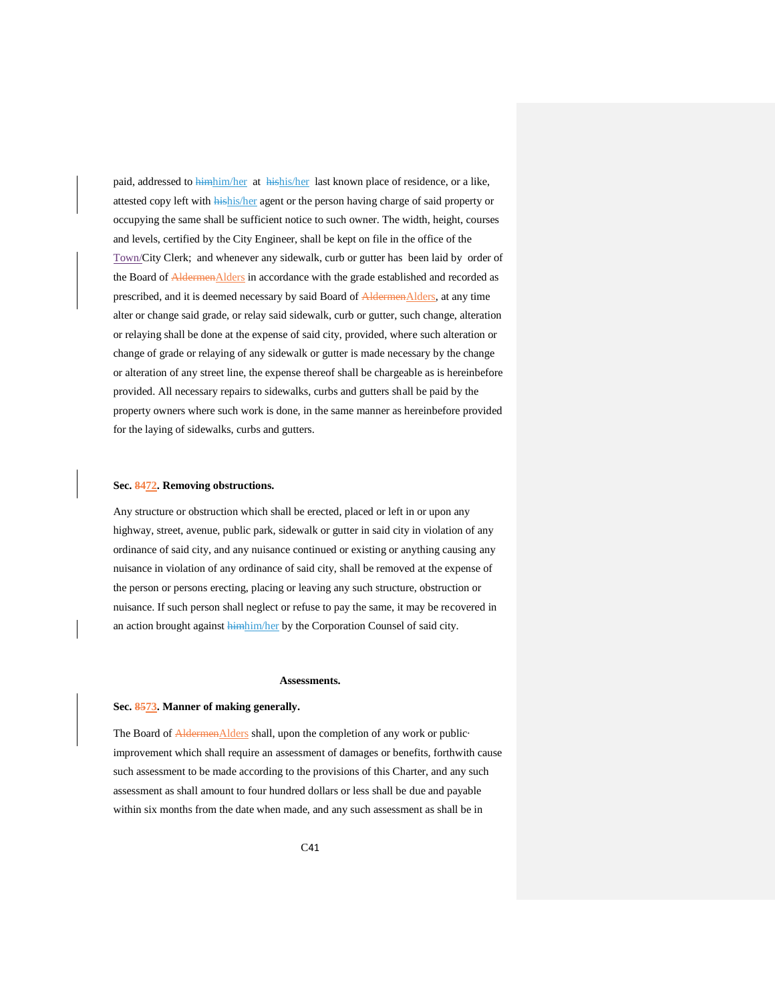paid, addressed to himhim/her at hishis/her last known place of residence, or a like, attested copy left with hishis/her agent or the person having charge of said property or occupying the same shall be sufficient notice to such owner. The width, height, courses and levels, certified by the City Engineer, shall be kept on file in the office of the Town/City Clerk; and whenever any sidewalk, curb or gutter has been laid by order of the Board of **AldermenAlders** in accordance with the grade established and recorded as prescribed, and it is deemed necessary by said Board of AldermenAlders, at any time alter or change said grade, or relay said sidewalk, curb or gutter, such change, alteration or relaying shall be done at the expense of said city, provided, where such alteration or change of grade or relaying of any sidewalk or gutter is made necessary by the change or alteration of any street line, the expense thereof shall be chargeable as is hereinbefore provided. All necessary repairs to sidewalks, curbs and gutters shall be paid by the property owners where such work is done, in the same manner as hereinbefore provided for the laying of sidewalks, curbs and gutters.

#### **Sec. 8472. Removing obstructions.**

<span id="page-40-0"></span>Any structure or obstruction which shall be erected, placed or left in or upon any highway, street, avenue, public park, sidewalk or gutter in said city in violation of any ordinance of said city, and any nuisance continued or existing or anything causing any nuisance in violation of any ordinance of said city, shall be removed at the expense of the person or persons erecting, placing or leaving any such structure, obstruction or nuisance. If such person shall neglect or refuse to pay the same, it may be recovered in an action brought against *himhim/her* by the Corporation Counsel of said city.

#### **Assessments.**

#### <span id="page-40-1"></span>**Sec. 8573. Manner of making generally.**

<span id="page-40-2"></span>The Board of AldermenAlders shall, upon the completion of any work or publicimprovement which shall require an assessment of damages or benefits, forthwith cause such assessment to be made according to the provisions of this Charter, and any such assessment as shall amount to four hundred dollars or less shall be due and payable within six months from the date when made, and any such assessment as shall be in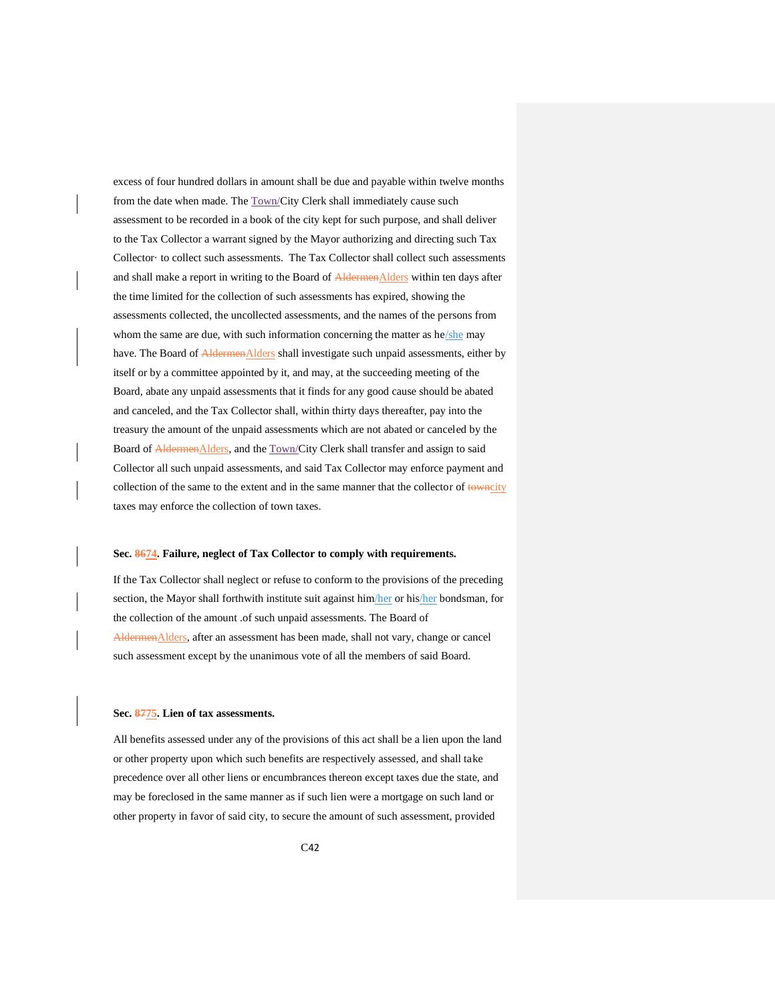excess of four hundred dollars in amount shall be due and payable within twelve months from the date when made. The Town/City Clerk shall immediately cause such assessment to be recorded in a book of the city kept for such purpose, and shall deliver to the Tax Collector a warrant signed by the Mayor authorizing and directing such Tax Collector· to collect such assessments. The Tax Collector shall collect such assessments and shall make a report in writing to the Board of AldermenAlders within ten days after the time limited for the collection of such assessments has expired, showing the assessments collected, the uncollected assessments, and the names of the persons from whom the same are due, with such information concerning the matter as he/she may have. The Board of AldermenAlders shall investigate such unpaid assessments, either by itself or by a committee appointed by it, and may, at the succeeding meeting of the Board, abate any unpaid assessments that it finds for any good cause should be abated and canceled, and the Tax Collector shall, within thirty days thereafter, pay into the treasury the amount of the unpaid assessments which are not abated or canceled by the Board of AldermenAlders, and the Town/City Clerk shall transfer and assign to said Collector all such unpaid assessments, and said Tax Collector may enforce payment and collection of the same to the extent and in the same manner that the collector of towncity taxes may enforce the collection of town taxes.

#### **Sec. 8674. Failure, neglect of Tax Collector to comply with requirements.**

<span id="page-41-0"></span>If the Tax Collector shall neglect or refuse to conform to the provisions of the preceding section, the Mayor shall forthwith institute suit against him/her or his/her bondsman, for the collection of the amount .of such unpaid assessments. The Board of AldermenAlders, after an assessment has been made, shall not vary, change or cancel such assessment except by the unanimous vote of all the members of said Board.

#### **Sec. 8775. Lien of tax assessments.**

<span id="page-41-1"></span>All benefits assessed under any of the provisions of this act shall be a lien upon the land or other property upon which such benefits are respectively assessed, and shall take precedence over all other liens or encumbrances thereon except taxes due the state, and may be foreclosed in the same manner as if such lien were a mortgage on such land or other property in favor of said city, to secure the amount of such assessment, provided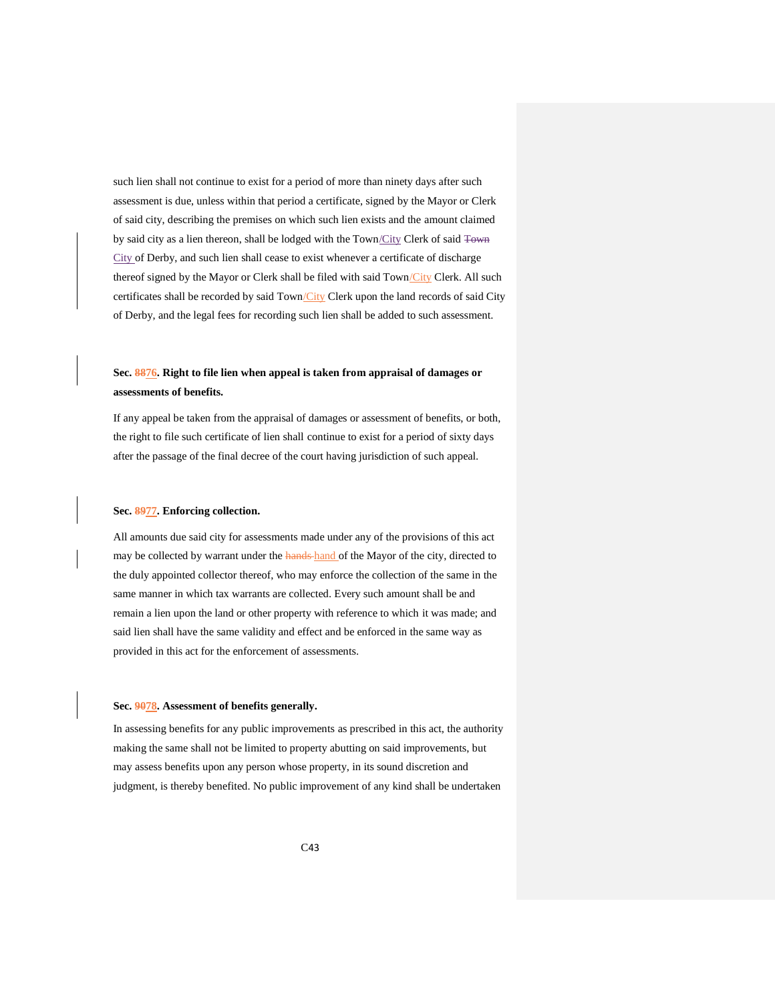such lien shall not continue to exist for a period of more than ninety days after such assessment is due, unless within that period a certificate, signed by the Mayor or Clerk of said city, describing the premises on which such lien exists and the amount claimed by said city as a lien thereon, shall be lodged with the Town/City Clerk of said Town City of Derby, and such lien shall cease to exist whenever a certificate of discharge thereof signed by the Mayor or Clerk shall be filed with said Town/City Clerk. All such certificates shall be recorded by said Town/City Clerk upon the land records of said City of Derby, and the legal fees for recording such lien shall be added to such assessment.

# **Sec. 8876. Right to file lien when appeal is taken from appraisal of damages or assessments of benefits.**

<span id="page-42-0"></span>If any appeal be taken from the appraisal of damages or assessment of benefits, or both, the right to file such certificate of lien shall continue to exist for a period of sixty days after the passage of the final decree of the court having jurisdiction of such appeal.

#### **Sec. 8977. Enforcing collection.**

<span id="page-42-1"></span>All amounts due said city for assessments made under any of the provisions of this act may be collected by warrant under the **hands-hand** of the Mayor of the city, directed to the duly appointed collector thereof, who may enforce the collection of the same in the same manner in which tax warrants are collected. Every such amount shall be and remain a lien upon the land or other property with reference to which it was made; and said lien shall have the same validity and effect and be enforced in the same way as provided in this act for the enforcement of assessments.

#### **Sec. 9078. Assessment of benefits generally.**

<span id="page-42-2"></span>In assessing benefits for any public improvements as prescribed in this act, the authority making the same shall not be limited to property abutting on said improvements, but may assess benefits upon any person whose property, in its sound discretion and judgment, is thereby benefited. No public improvement of any kind shall be undertaken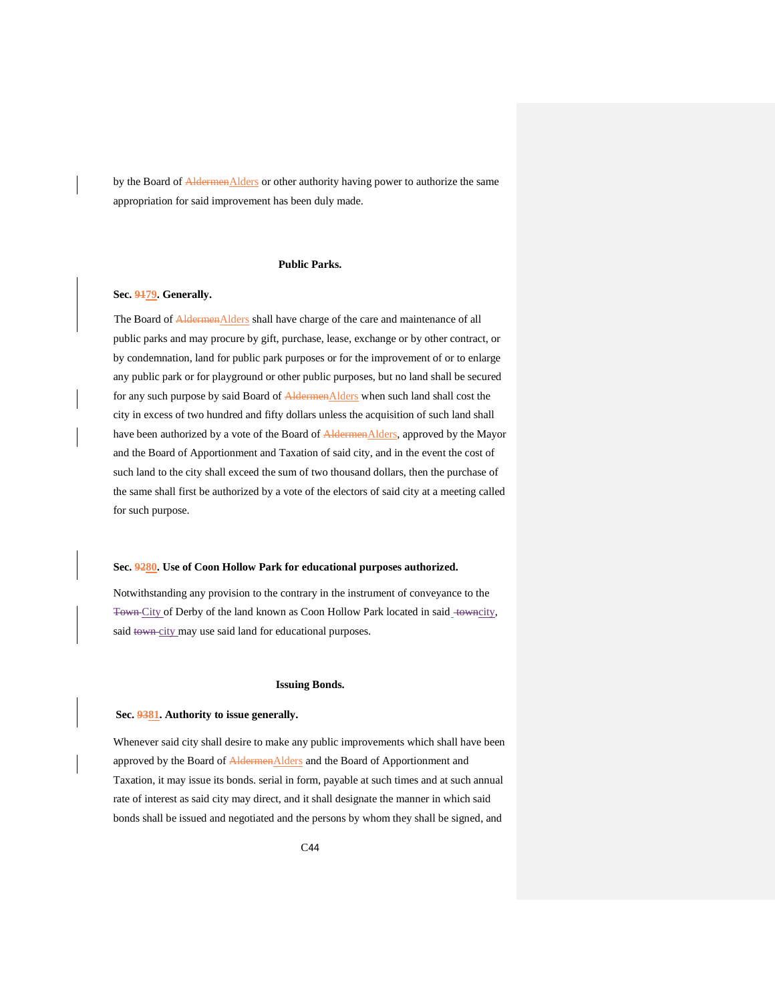by the Board of AldermenAlders or other authority having power to authorize the same appropriation for said improvement has been duly made.

## **Public Parks.**

## <span id="page-43-1"></span><span id="page-43-0"></span>**Sec. 9179. Generally.**

The Board of **Aldermen**Alders shall have charge of the care and maintenance of all public parks and may procure by gift, purchase, lease, exchange or by other contract, or by condemnation, land for public park purposes or for the improvement of or to enlarge any public park or for playground or other public purposes, but no land shall be secured for any such purpose by said Board of AldermenAlders when such land shall cost the city in excess of two hundred and fifty dollars unless the acquisition of such land shall have been authorized by a vote of the Board of AldermenAlders, approved by the Mayor and the Board of Apportionment and Taxation of said city, and in the event the cost of such land to the city shall exceed the sum of two thousand dollars, then the purchase of the same shall first be authorized by a vote of the electors of said city at a meeting called for such purpose.

#### <span id="page-43-2"></span>**Sec. 9280. Use of Coon Hollow Park for educational purposes authorized.**

Notwithstanding any provision to the contrary in the instrument of conveyance to the Town City of Derby of the land known as Coon Hollow Park located in said\_towncity, said town-city may use said land for educational purposes.

## **Issuing Bonds.**

#### <span id="page-43-4"></span><span id="page-43-3"></span>**Sec. 9381. Authority to issue generally.**

Whenever said city shall desire to make any public improvements which shall have been approved by the Board of AldermenAlders and the Board of Apportionment and Taxation, it may issue its bonds. serial in form, payable at such times and at such annual rate of interest as said city may direct, and it shall designate the manner in which said bonds shall be issued and negotiated and the persons by whom they shall be signed, and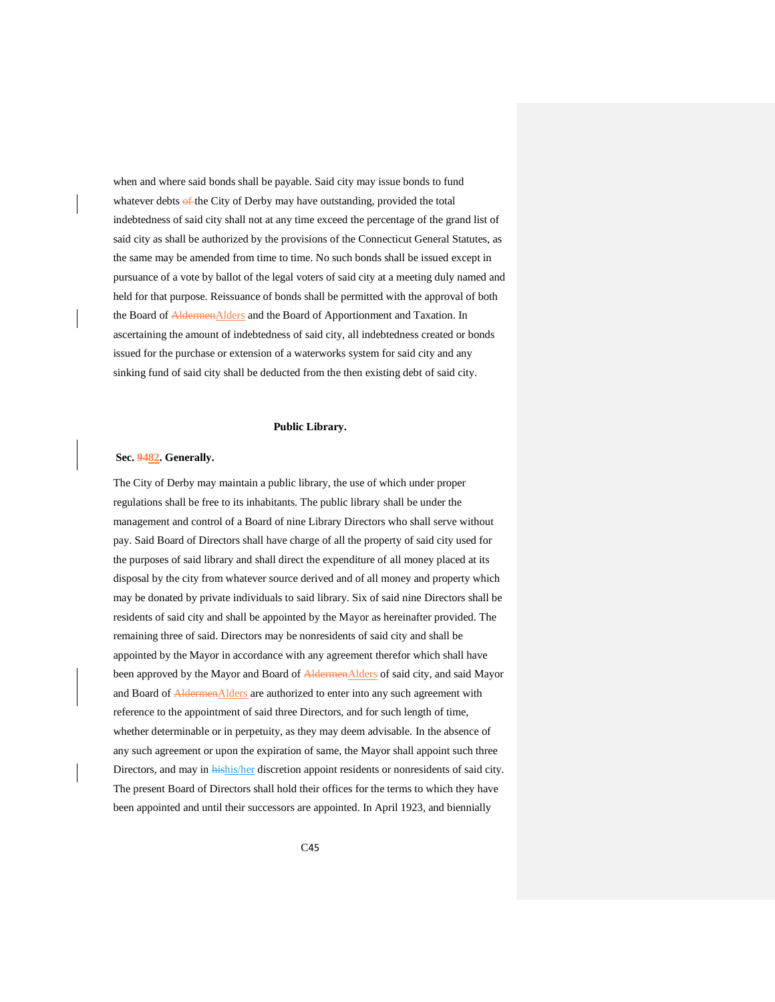when and where said bonds shall be payable. Said city may issue bonds to fund whatever debts of the City of Derby may have outstanding, provided the total indebtedness of said city shall not at any time exceed the percentage of the grand list of said city as shall be authorized by the provisions of the Connecticut General Statutes, as the same may be amended from time to time. No such bonds shall be issued except in pursuance of a vote by ballot of the legal voters of said city at a meeting duly named and held for that purpose. Reissuance of bonds shall be permitted with the approval of both the Board of **AldermenAlders** and the Board of Apportionment and Taxation. In ascertaining the amount of indebtedness of said city, all indebtedness created or bonds issued for the purchase or extension of a waterworks system for said city and any sinking fund of said city shall be deducted from the then existing debt of said city.

#### **Public Library.**

## <span id="page-44-1"></span><span id="page-44-0"></span>**Sec. 9482. Generally.**

The City of Derby may maintain a public library, the use of which under proper regulations shall be free to its inhabitants. The public library shall be under the management and control of a Board of nine Library Directors who shall serve without pay. Said Board of Directors shall have charge of all the property of said city used for the purposes of said library and shall direct the expenditure of all money placed at its disposal by the city from whatever source derived and of all money and property which may be donated by private individuals to said library. Six of said nine Directors shall be residents of said city and shall be appointed by the Mayor as hereinafter provided. The remaining three of said. Directors may be nonresidents of said city and shall be appointed by the Mayor in accordance with any agreement therefor which shall have been approved by the Mayor and Board of AldermenAlders of said city, and said Mayor and Board of **Aldermen**Alders are authorized to enter into any such agreement with reference to the appointment of said three Directors, and for such length of time, whether determinable or in perpetuity, as they may deem advisable. In the absence of any such agreement or upon the expiration of same, the Mayor shall appoint such three Directors, and may in *hishis/her* discretion appoint residents or nonresidents of said city. The present Board of Directors shall hold their offices for the terms to which they have been appointed and until their successors are appointed. In April 1923, and biennially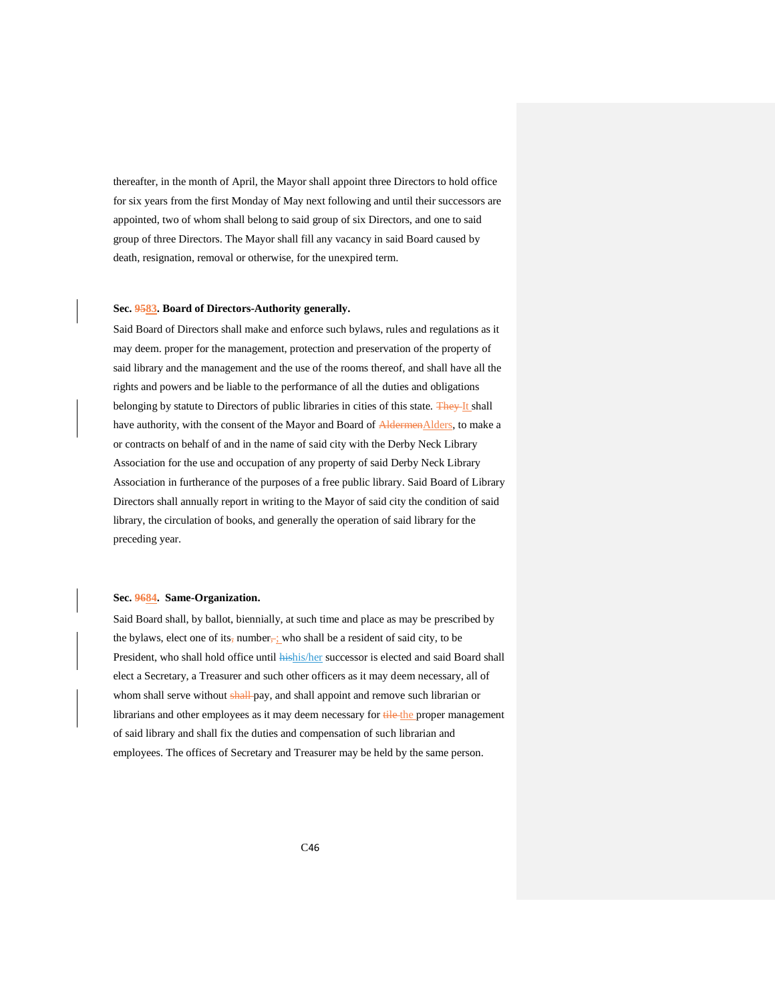thereafter, in the month of April, the Mayor shall appoint three Directors to hold office for six years from the first Monday of May next following and until their successors are appointed, two of whom shall belong to said group of six Directors, and one to said group of three Directors. The Mayor shall fill any vacancy in said Board caused by death, resignation, removal or otherwise, for the unexpired term.

#### **Sec. 9583. Board of Directors-Authority generally.**

<span id="page-45-0"></span>Said Board of Directors shall make and enforce such bylaws, rules and regulations as it may deem. proper for the management, protection and preservation of the property of said library and the management and the use of the rooms thereof, and shall have all the rights and powers and be liable to the performance of all the duties and obligations belonging by statute to Directors of public libraries in cities of this state. They It shall have authority, with the consent of the Mayor and Board of AldermenAlders, to make a or contracts on behalf of and in the name of said city with the Derby Neck Library Association for the use and occupation of any property of said Derby Neck Library Association in furtherance of the purposes of a free public library. Said Board of Library Directors shall annually report in writing to the Mayor of said city the condition of said library, the circulation of books, and generally the operation of said library for the preceding year.

## **Sec. 9684. Same-Organization.**

<span id="page-45-1"></span>Said Board shall, by ballot, biennially, at such time and place as may be prescribed by the bylaws, elect one of its, number, who shall be a resident of said city, to be President, who shall hold office until **hishis/her successor** is elected and said Board shall elect a Secretary, a Treasurer and such other officers as it may deem necessary, all of whom shall serve without shall pay, and shall appoint and remove such librarian or librarians and other employees as it may deem necessary for tile the proper management of said library and shall fix the duties and compensation of such librarian and employees. The offices of Secretary and Treasurer may be held by the same person.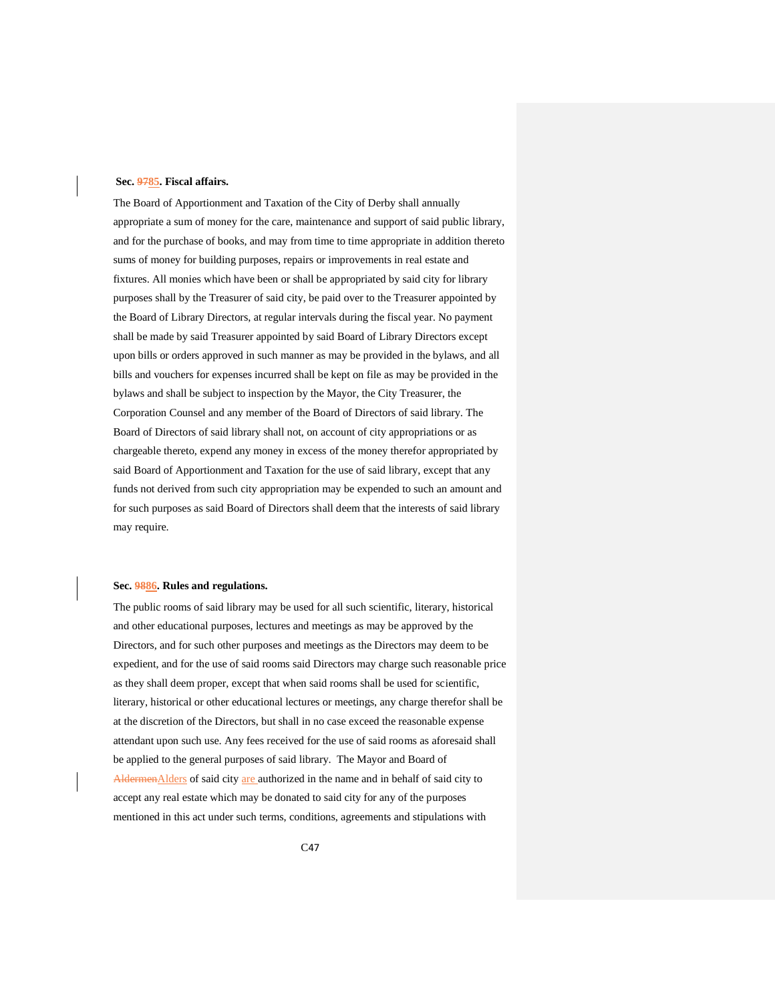#### <span id="page-46-0"></span>**Sec. 9785. Fiscal affairs.**

The Board of Apportionment and Taxation of the City of Derby shall annually appropriate a sum of money for the care, maintenance and support of said public library, and for the purchase of books, and may from time to time appropriate in addition thereto sums of money for building purposes, repairs or improvements in real estate and fixtures. All monies which have been or shall be appropriated by said city for library purposes shall by the Treasurer of said city, be paid over to the Treasurer appointed by the Board of Library Directors, at regular intervals during the fiscal year. No payment shall be made by said Treasurer appointed by said Board of Library Directors except upon bills or orders approved in such manner as may be provided in the bylaws, and all bills and vouchers for expenses incurred shall be kept on file as may be provided in the bylaws and shall be subject to inspection by the Mayor, the City Treasurer, the Corporation Counsel and any member of the Board of Directors of said library. The Board of Directors of said library shall not, on account of city appropriations or as chargeable thereto, expend any money in excess of the money therefor appropriated by said Board of Apportionment and Taxation for the use of said library, except that any funds not derived from such city appropriation may be expended to such an amount and for such purposes as said Board of Directors shall deem that the interests of said library may require.

## <span id="page-46-1"></span>**Sec. 9886. Rules and regulations.**

The public rooms of said library may be used for all such scientific, literary, historical and other educational purposes, lectures and meetings as may be approved by the Directors, and for such other purposes and meetings as the Directors may deem to be expedient, and for the use of said rooms said Directors may charge such reasonable price as they shall deem proper, except that when said rooms shall be used for scientific, literary, historical or other educational lectures or meetings, any charge therefor shall be at the discretion of the Directors, but shall in no case exceed the reasonable expense attendant upon such use. Any fees received for the use of said rooms as aforesaid shall be applied to the general purposes of said library. The Mayor and Board of AldermenAlders of said city are authorized in the name and in behalf of said city to accept any real estate which may be donated to said city for any of the purposes mentioned in this act under such terms, conditions, agreements and stipulations with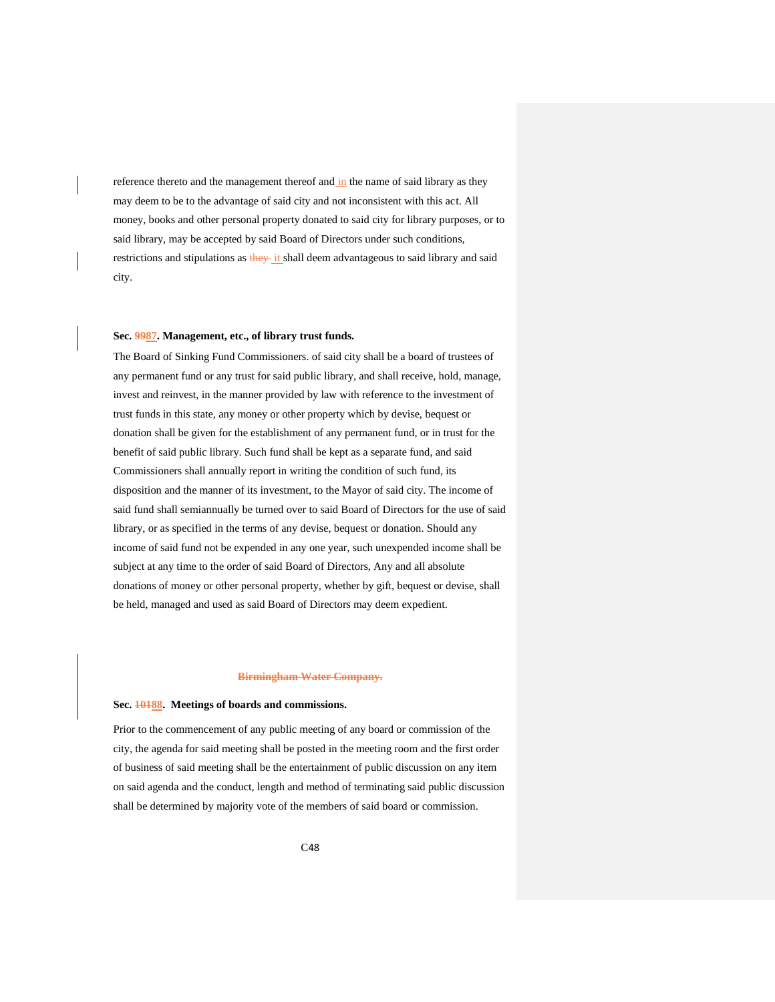reference thereto and the management thereof and in the name of said library as they may deem to be to the advantage of said city and not inconsistent with this act. All money, books and other personal property donated to said city for library purposes, or to said library, may be accepted by said Board of Directors under such conditions, restrictions and stipulations as they it shall deem advantageous to said library and said city.

#### <span id="page-47-0"></span>**Sec. 9987. Management, etc., of library trust funds.**

The Board of Sinking Fund Commissioners. of said city shall be a board of trustees of any permanent fund or any trust for said public library, and shall receive, hold, manage, invest and reinvest, in the manner provided by law with reference to the investment of trust funds in this state, any money or other property which by devise, bequest or donation shall be given for the establishment of any permanent fund, or in trust for the benefit of said public library. Such fund shall be kept as a separate fund, and said Commissioners shall annually report in writing the condition of such fund, its disposition and the manner of its investment, to the Mayor of said city. The income of said fund shall semiannually be turned over to said Board of Directors for the use of said library, or as specified in the terms of any devise, bequest or donation. Should any income of said fund not be expended in any one year, such unexpended income shall be subject at any time to the order of said Board of Directors, Any and all absolute donations of money or other personal property, whether by gift, bequest or devise, shall be held, managed and used as said Board of Directors may deem expedient.

#### **Birmingham Water Company.**

## <span id="page-47-2"></span><span id="page-47-1"></span>**Sec. 10188. Meetings of boards and commissions.**

Prior to the commencement of any public meeting of any board or commission of the city, the agenda for said meeting shall be posted in the meeting room and the first order of business of said meeting shall be the entertainment of public discussion on any item on said agenda and the conduct, length and method of terminating said public discussion shall be determined by majority vote of the members of said board or commission.